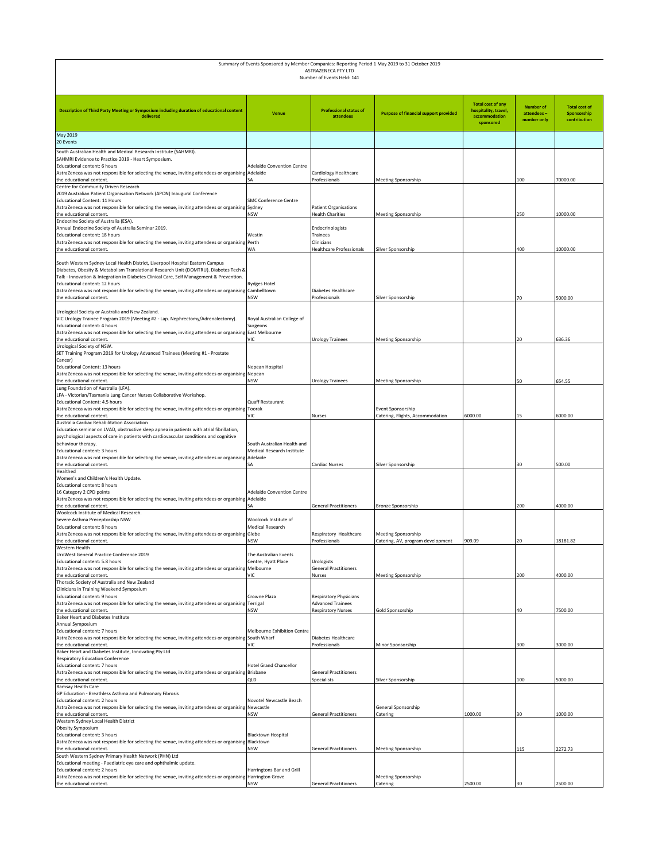|                                                                                                                                                                                                                                                                                                                                                                                                             |                                                           | ASTRAZENECA PTY LTD<br>Number of Events Held: 141                             | Summary of Events Sponsored by Member Companies: Reporting Period 1 May 2019 to 31 October 2019 |                                                                                |                                               |                                                     |
|-------------------------------------------------------------------------------------------------------------------------------------------------------------------------------------------------------------------------------------------------------------------------------------------------------------------------------------------------------------------------------------------------------------|-----------------------------------------------------------|-------------------------------------------------------------------------------|-------------------------------------------------------------------------------------------------|--------------------------------------------------------------------------------|-----------------------------------------------|-----------------------------------------------------|
| Description of Third Party Meeting or Symposium including duration of educational content<br>delivered                                                                                                                                                                                                                                                                                                      | Venue                                                     | <b>Professional status of</b><br>attendees                                    | <b>Purpose of financial support provided</b>                                                    | <b>Total cost of any</b><br>hospitality, travel,<br>accommodation<br>sponsored | <b>Number of</b><br>attendees-<br>number only | <b>Total cost of</b><br>Sponsorship<br>contribution |
| <b>May 2019</b><br>20 Events                                                                                                                                                                                                                                                                                                                                                                                |                                                           |                                                                               |                                                                                                 |                                                                                |                                               |                                                     |
| South Australian Health and Medical Research Institute (SAHMRI).<br>SAHMRI Evidence to Practice 2019 - Heart Symposium.<br>Educational content: 6 hours<br>AstraZeneca was not responsible for selecting the venue, inviting attendees or organising Adelaide                                                                                                                                               | <b>Adelaide Convention Centre</b>                         | Cardiology Healthcare                                                         |                                                                                                 |                                                                                |                                               |                                                     |
| the educational content.<br>Centre for Community Driven Research                                                                                                                                                                                                                                                                                                                                            | SA                                                        | Professionals                                                                 | Meeting Sponsorship                                                                             |                                                                                | 100                                           | 70000.00                                            |
| 2019 Australian Patient Organisation Network (APON) Inaugural Conference<br>Educational Content: 11 Hours<br>AstraZeneca was not responsible for selecting the venue, inviting attendees or organising<br>the educational content.                                                                                                                                                                          | <b>SMC Conference Centre</b><br>Sydney<br><b>NSW</b>      | Patient Organisations<br><b>Health Charities</b>                              | Meeting Sponsorship                                                                             |                                                                                | 250                                           | 10000.00                                            |
| Endocrine Society of Australia (ESA).<br>Annual Endocrine Society of Australia Seminar 2019.<br>Educational content: 18 hours<br>AstraZeneca was not responsible for selecting the venue, inviting attendees or organising Perth<br>the educational content.                                                                                                                                                | Westin<br>WA                                              | Endocrinologists<br>Trainees<br>Clinicians<br><b>Healthcare Professionals</b> | Silver Sponsorship                                                                              |                                                                                | 400                                           | 10000.00                                            |
| South Western Sydney Local Health District, Liverpool Hospital Eastern Campus<br>Diabetes, Obesity & Metabolism Translational Research Unit (DOMTRU). Diabetes Tech &<br>Talk - Innovation & Integration in Diabetes Clinical Care, Self Management & Prevention.<br>Educational content: 12 hours<br>AstraZeneca was not responsible for selecting the venue, inviting attendees or organising Cambelltown | <b>Rydges Hotel</b>                                       | Diabetes Healthcare                                                           |                                                                                                 |                                                                                |                                               |                                                     |
| the educational content                                                                                                                                                                                                                                                                                                                                                                                     | <b>NSW</b>                                                | Professionals                                                                 | Silver Sponsorship                                                                              |                                                                                | 70                                            | 5000.00                                             |
| Urological Society or Australia and New Zealand.<br>VIC Urology Trainee Program 2019 (Meeting #2 - Lap. Nephrectomy/Adrenalectomy).<br>Educational content: 4 hours<br>AstraZeneca was not responsible for selecting the venue, inviting attendees or organising East Melbourne                                                                                                                             | Royal Australian College of<br>Surgeons                   |                                                                               |                                                                                                 |                                                                                |                                               |                                                     |
| the educational content.<br>Urological Society of NSW.                                                                                                                                                                                                                                                                                                                                                      | VIC                                                       | <b>Urology Trainees</b>                                                       | Meeting Sponsorship                                                                             |                                                                                | 20                                            | 636.36                                              |
| SET Training Program 2019 for Urology Advanced Trainees (Meeting #1 - Prostate<br>Cancer)<br>Educational Content: 13 hours<br>AstraZeneca was not responsible for selecting the venue, inviting attendees or organising                                                                                                                                                                                     | Nepean Hospital<br>Nepean                                 |                                                                               |                                                                                                 |                                                                                |                                               |                                                     |
| the educational content.                                                                                                                                                                                                                                                                                                                                                                                    | NSW                                                       | Urology Trainees                                                              | Meeting Sponsorship                                                                             |                                                                                | 50                                            | 654.55                                              |
| Lung Foundation of Australia (LFA).<br>LFA - Victorian/Tasmania Lung Cancer Nurses Collaborative Workshop.<br>Educational Content: 4.5 hours<br>AstraZeneca was not responsible for selecting the venue, inviting attendees or organising Toorak                                                                                                                                                            | Quaff Restaurant                                          |                                                                               | Event Sponsorship                                                                               |                                                                                |                                               |                                                     |
| the educational content.<br>Australia Cardiac Rehabilitation Association                                                                                                                                                                                                                                                                                                                                    | VIC                                                       | Nurses                                                                        | Catering, Flights, Accommodation                                                                | 6000.00                                                                        | 15                                            | 6000.00                                             |
| Education seminar on LVAD, obstructive sleep apnea in patients with atrial fibrillation,<br>psychological aspects of care in patients with cardiovascular conditions and cognitive<br>behaviour therapy.<br>Educational content: 3 hours                                                                                                                                                                    | South Australian Health and<br>Medical Research Institute |                                                                               |                                                                                                 |                                                                                |                                               |                                                     |
| AstraZeneca was not responsible for selecting the venue, inviting attendees or organising<br>the educational content.                                                                                                                                                                                                                                                                                       | Adelaide                                                  | Cardiac Nurses                                                                | Silver Sponsorship                                                                              |                                                                                | 30                                            | 500.00                                              |
| Healthed<br>Women's and Children's Health Update.<br>Educational content: 8 hours<br>16 Category 2 CPD points                                                                                                                                                                                                                                                                                               | <b>Adelaide Convention Centre</b>                         |                                                                               |                                                                                                 |                                                                                |                                               |                                                     |
| AstraZeneca was not responsible for selecting the venue, inviting attendees or organising Adelaide<br>the educational content                                                                                                                                                                                                                                                                               | SA                                                        | <b>General Practitioners</b>                                                  | Bronze Sponsorship                                                                              |                                                                                | 200                                           | 4000.00                                             |
| Woolcock Institute of Medical Research.<br>Severe Asthma Preceptorship NSW<br>Educational content: 8 hours<br>AstraZeneca was not responsible for selecting the venue, inviting attendees or organising Glebe                                                                                                                                                                                               | Woolcock Institute of<br>Medical Research                 |                                                                               |                                                                                                 |                                                                                |                                               |                                                     |
| the educational content.                                                                                                                                                                                                                                                                                                                                                                                    | NSW                                                       | Respiratory Healthcare<br>Professionals                                       | Meeting Sponsorship<br>Catering, AV, program development                                        | 909.09                                                                         | 20                                            | 18181.82                                            |
| Western Health<br>UroWest General Practice Conference 2019<br>Educational content: 5.8 hours<br>AstraZeneca was not responsible for selecting the venue, inviting attendees or organising Melbourne                                                                                                                                                                                                         | The Australian Events<br>Centre, Hyatt Place              | Urologists<br><b>General Practitioners</b>                                    |                                                                                                 |                                                                                |                                               |                                                     |
| the educational content.<br>Thoracic Society of Australia and New Zealand                                                                                                                                                                                                                                                                                                                                   | VIC                                                       | Nurses                                                                        | Meeting Sponsorship                                                                             |                                                                                | 200                                           | 4000.00                                             |
| Clinicians in Training Weekend Symposium<br>Educational content: 9 hours<br>AstraZeneca was not responsible for selecting the venue, inviting attendees or organising                                                                                                                                                                                                                                       | Crowne Plaza<br>Terrigal                                  | Respiratory Physicians<br><b>Advanced Trainees</b>                            |                                                                                                 |                                                                                |                                               |                                                     |
| the educational content.                                                                                                                                                                                                                                                                                                                                                                                    | NSW                                                       | <b>Respiratory Nurses</b>                                                     | Gold Sponsorship                                                                                |                                                                                | 40                                            | 7500.00                                             |
| <b>Baker Heart and Diabetes Institute</b><br>Annual Symposium<br>Educational content: 7 hours<br>AstraZeneca was not responsible for selecting the venue, inviting attendees or organising                                                                                                                                                                                                                  | Melbourne Exhibition Centre<br>South Wharf                | Diabetes Healthcare                                                           |                                                                                                 |                                                                                |                                               |                                                     |
| the educational content.                                                                                                                                                                                                                                                                                                                                                                                    | VIC                                                       | Professionals                                                                 | Minor Sponsorship                                                                               |                                                                                | 300                                           | 3000.00                                             |
| Baker Heart and Diabetes Institute, Innovating Pty Ltd<br>Respiratory Education Conference<br>Educational content: 7 hours                                                                                                                                                                                                                                                                                  | <b>Hotel Grand Chancellor</b>                             |                                                                               |                                                                                                 |                                                                                |                                               |                                                     |
| AstraZeneca was not responsible for selecting the venue, inviting attendees or organising Brisbane<br>the educational content.                                                                                                                                                                                                                                                                              | OI D                                                      | <b>General Practitioners</b><br>Specialists                                   | Silver Sponsorship                                                                              |                                                                                | 100                                           | 5000.00                                             |
| Ramsay Health Care<br>GP Education - Breathless Asthma and Pulmonary Fibrosis<br>Educational content: 2 hours<br>AstraZeneca was not responsible for selecting the venue, inviting attendees or organising                                                                                                                                                                                                  | Novotel Newcastle Beach<br>Newcastle                      |                                                                               | General Sponsorship                                                                             |                                                                                |                                               |                                                     |
| the educational content.                                                                                                                                                                                                                                                                                                                                                                                    | <b>NSW</b>                                                | <b>General Practitioners</b>                                                  | Catering                                                                                        | 1000.00                                                                        | 30                                            | 1000.00                                             |
| Western Sydney Local Health District<br>Obesity Symposium<br>Educational content: 3 hours<br>AstraZeneca was not responsible for selecting the venue, inviting attendees or organising                                                                                                                                                                                                                      | <b>Blacktown Hospital</b><br>Blacktown                    |                                                                               |                                                                                                 |                                                                                |                                               |                                                     |
| the educational content.                                                                                                                                                                                                                                                                                                                                                                                    | <b>NSW</b>                                                | <b>General Practitioners</b>                                                  | Meeting Sponsorship                                                                             |                                                                                | 115                                           | 2272.73                                             |
| South Western Sydney Primary Health Network (PHN) Ltd<br>Educational meeting - Paediatric eye care and ophthalmic update.<br>Educational content: 2 hours<br>AstraZeneca was not responsible for selecting the venue, inviting attendees or organising Harrington Grove                                                                                                                                     | Harringtons Bar and Grill                                 |                                                                               | Meeting Sponsorship                                                                             |                                                                                |                                               |                                                     |
| the educational content.                                                                                                                                                                                                                                                                                                                                                                                    | <b>NSW</b>                                                | <b>General Practitioners</b>                                                  | Catering                                                                                        | 2500.00                                                                        | 30                                            | 2500.00                                             |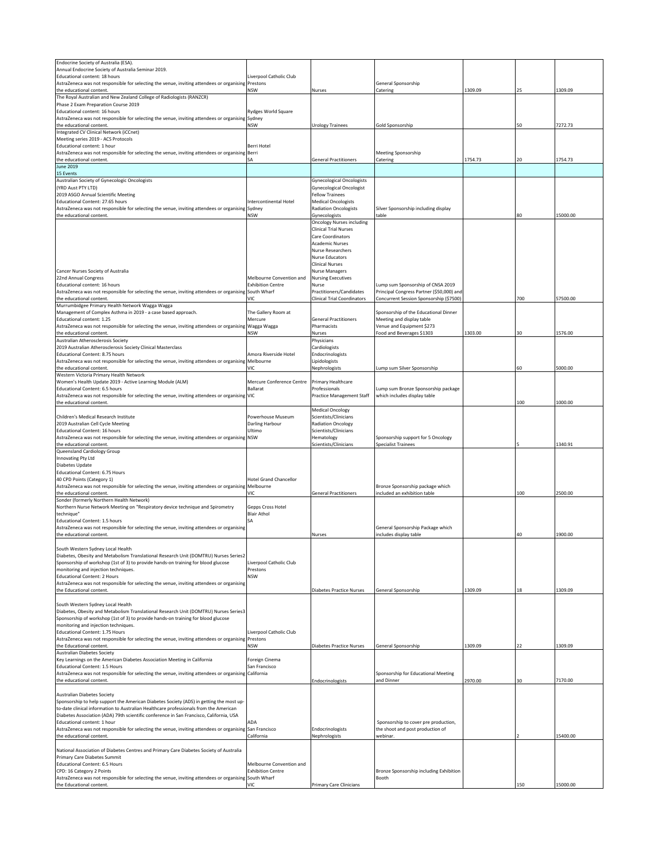| Endocrine Society of Australia (ESA).                                                                   |                               |                                    |                                           |         |     |          |
|---------------------------------------------------------------------------------------------------------|-------------------------------|------------------------------------|-------------------------------------------|---------|-----|----------|
| Annual Endocrine Society of Australia Seminar 2019.                                                     |                               |                                    |                                           |         |     |          |
| Educational content: 18 hours                                                                           | Liverpool Catholic Club       |                                    |                                           |         |     |          |
| AstraZeneca was not responsible for selecting the venue, inviting attendees or organising Prestons      | <b>NSW</b>                    |                                    | General Sponsorship                       | 1309.09 | 25  |          |
| the educational content<br>The Royal Australian and New Zealand College of Radiologists (RANZCR)        |                               | Nurses                             | Catering                                  |         |     | 1309.09  |
| Phase 2 Exam Preparation Course 2019                                                                    |                               |                                    |                                           |         |     |          |
| Educational content: 16 hours                                                                           | Rydges World Square           |                                    |                                           |         |     |          |
| AstraZeneca was not responsible for selecting the venue, inviting attendees or organising Sydney        |                               |                                    |                                           |         |     |          |
| the educational content.                                                                                | <b>NSW</b>                    | Urology Trainees                   | Gold Sponsorship                          |         | 50  | 7272.73  |
| Integrated CV Clinical Network (iCCnet)                                                                 |                               |                                    |                                           |         |     |          |
| Meeting series 2019 - ACS Protocols                                                                     |                               |                                    |                                           |         |     |          |
| Educational content: 1 hour                                                                             | Berri Hotel                   |                                    |                                           |         |     |          |
| AstraZeneca was not responsible for selecting the venue, inviting attendees or organising               | Berri                         |                                    | <b>Meeting Sponsorship</b>                |         |     |          |
| the educational content.                                                                                | ŚΑ                            | <b>General Practitioners</b>       | Catering                                  | 1754.73 | 20  | 1754.73  |
| <b>June 2019</b>                                                                                        |                               |                                    |                                           |         |     |          |
| 15 Events                                                                                               |                               |                                    |                                           |         |     |          |
| Australian Society of Gynecologic Oncologists                                                           |                               | <b>Gynecological Oncologists</b>   |                                           |         |     |          |
| (YRD Aust PTY LTD)                                                                                      |                               | <b>Gynecological Oncologist</b>    |                                           |         |     |          |
| 2019 ASGO Annual Scientific Meeting                                                                     |                               | <b>Fellow Trainees</b>             |                                           |         |     |          |
| Educational Content: 27.65 hours                                                                        | Intercontinental Hotel        | <b>Medical Oncologists</b>         |                                           |         |     |          |
| AstraZeneca was not responsible for selecting the venue, inviting attendees or organising               | Sydney                        | <b>Radiation Oncologists</b>       | Silver Sponsorship including display      |         |     |          |
| the educational content.                                                                                | <b>NSW</b>                    | Gynecologists                      | table                                     |         | 80  | 15000.00 |
|                                                                                                         |                               | <b>Oncology Nurses including</b>   |                                           |         |     |          |
|                                                                                                         |                               | <b>Clinical Trial Nurses</b>       |                                           |         |     |          |
|                                                                                                         |                               | Care Coordinators                  |                                           |         |     |          |
|                                                                                                         |                               | <b>Academic Nurses</b>             |                                           |         |     |          |
|                                                                                                         |                               | <b>Nurse Researchers</b>           |                                           |         |     |          |
|                                                                                                         |                               | Nurse Educators                    |                                           |         |     |          |
|                                                                                                         |                               | <b>Clinical Nurses</b>             |                                           |         |     |          |
| Cancer Nurses Society of Australia                                                                      |                               | <b>Nurse Managers</b>              |                                           |         |     |          |
| 22nd Annual Congress                                                                                    | Melbourne Convention and      | <b>Nursing Executives</b>          |                                           |         |     |          |
| Educational content: 16 hours                                                                           | <b>Exhibition Centre</b>      | Nurse                              | Lump sum Sponsorship of CNSA 2019         |         |     |          |
| AstraZeneca was not responsible for selecting the venue, inviting attendees or organising South Wharf   |                               | <b>Practitioners/Candidates</b>    | Principal Congress Partner (\$50,000) and |         |     |          |
| the educational content                                                                                 | VIC                           | <b>Clinical Trial Coordinators</b> | Concurrent Session Sponsorship (\$7500)   |         | 700 | 57500.00 |
| Murrumbidgee Primary Health Network Wagga Wagga                                                         |                               |                                    |                                           |         |     |          |
| Management of Complex Asthma in 2019 - a case based approach.                                           | The Gallery Room at           |                                    | Sponsorship of the Educational Dinner     |         |     |          |
| Educational content: 1.25                                                                               | Mercure                       | <b>General Practitioners</b>       | Meeting and display table                 |         |     |          |
| AstraZeneca was not responsible for selecting the venue, inviting attendees or organising               | Wagga Wagga                   | Pharmacists                        | Venue and Equipment \$273                 |         |     |          |
| the educational content.                                                                                | <b>NSW</b>                    | Nurses                             | Food and Beverages \$1303                 | 1303.00 | 30  | 1576.00  |
| Australian Atherosclerosis Society                                                                      |                               | Physicians                         |                                           |         |     |          |
| 2019 Australian Atherosclerosis Society Clinical Masterclass                                            |                               | Cardiologists                      |                                           |         |     |          |
| Educational Content: 8.75 hours                                                                         | Amora Riverside Hotel         | Endocrinologists                   |                                           |         |     |          |
| AstraZeneca was not responsible for selecting the venue, inviting attendees or organising Melbourne     |                               | Lipidologists                      |                                           |         |     |          |
| the educational content.                                                                                | VIC                           | Nephrologists                      | Lump sum Silver Sponsorship               |         | 60  | 5000.00  |
| Western Victoria Primary Health Network                                                                 |                               |                                    |                                           |         |     |          |
| Women's Health Update 2019 - Active Learning Module (ALM)                                               | Mercure Conference Centre     | Primary Healthcare                 |                                           |         |     |          |
| Educational Content: 6.5 hours                                                                          | <b>Ballarat</b>               | Professionals                      | Lump sum Bronze Sponsorship package       |         |     |          |
| AstraZeneca was not responsible for selecting the venue, inviting attendees or organising VIC           |                               | Practice Management Staff          | which includes display table              |         |     |          |
| the educational content.                                                                                |                               |                                    |                                           |         | 100 | 1000.00  |
|                                                                                                         |                               | <b>Medical Oncology</b>            |                                           |         |     |          |
| Children's Medical Research Institute                                                                   | Powerhouse Museum             | Scientists/Clinicians              |                                           |         |     |          |
| 2019 Australian Cell Cycle Meeting                                                                      | Darling Harbour               | <b>Radiation Oncology</b>          |                                           |         |     |          |
| <b>Educational Content: 16 hours</b>                                                                    | Ultimo                        | Scientists/Clinicians              |                                           |         |     |          |
| AstraZeneca was not responsible for selecting the venue, inviting attendees or organising NSW           |                               | Hematology                         | Sponsorship support for 5 Oncology        |         |     |          |
| the educational content.                                                                                |                               | Scientists/Clinicians              | <b>Specialist Trainees</b>                |         |     | 1340.91  |
| Queensland Cardiology Group                                                                             |                               |                                    |                                           |         |     |          |
| Innovating Pty Ltd                                                                                      |                               |                                    |                                           |         |     |          |
| Diabetes Update                                                                                         |                               |                                    |                                           |         |     |          |
| Educational Content: 6.75 Hours                                                                         |                               |                                    |                                           |         |     |          |
| 40 CPD Points (Category 1)                                                                              | <b>Hotel Grand Chancellor</b> |                                    |                                           |         |     |          |
| AstraZeneca was not responsible for selecting the venue, inviting attendees or organising               | Melbourne                     |                                    | Bronze Sponsorship package which          |         |     |          |
| the educational content.                                                                                | VIC                           | <b>General Practitioners</b>       | included an exhibition table              |         | 100 | 2500.00  |
| Sonder (formerly Northern Health Network)                                                               |                               |                                    |                                           |         |     |          |
| Northern Nurse Network Meeting on "Respiratory device technique and Spirometry                          | Gepps Cross Hotel             |                                    |                                           |         |     |          |
| technique"                                                                                              | <b>Blair Athol</b>            |                                    |                                           |         |     |          |
| Educational Content: 1.5 hours                                                                          | SA                            |                                    |                                           |         |     |          |
| AstraZeneca was not responsible for selecting the venue, inviting attendees or organising               |                               |                                    | General Sponsorship Package which         |         |     |          |
| the educational content                                                                                 |                               | Nurses                             | includes display table                    |         | 40  | 1900.00  |
|                                                                                                         |                               |                                    |                                           |         |     |          |
| South Western Sydney Local Health                                                                       |                               |                                    |                                           |         |     |          |
| Diabetes, Obesity and Metabolism Translational Research Unit (DOMTRU) Nurses Series2                    |                               |                                    |                                           |         |     |          |
| Sponsorship of workshop (1st of 3) to provide hands-on training for blood glucose                       | Liverpool Catholic Club       |                                    |                                           |         |     |          |
| monitoring and injection techniques.                                                                    | Prestons                      |                                    |                                           |         |     |          |
| <b>Educational Content: 2 Hours</b>                                                                     | <b>NSW</b>                    |                                    |                                           |         |     |          |
| AstraZeneca was not responsible for selecting the venue, inviting attendees or organising               |                               |                                    |                                           |         |     |          |
| the Educational content.                                                                                |                               | Diabetes Practice Nurses           | General Sponsorship                       | 1309.09 | 18  | 1309.09  |
|                                                                                                         |                               |                                    |                                           |         |     |          |
| South Western Sydney Local Health                                                                       |                               |                                    |                                           |         |     |          |
| Diabetes, Obesity and Metabolism Translational Research Unit (DOMTRU) Nurses Series3                    |                               |                                    |                                           |         |     |          |
| Sponsorship of workshop (1st of 3) to provide hands-on training for blood glucose                       |                               |                                    |                                           |         |     |          |
| monitoring and injection techniques.                                                                    |                               |                                    |                                           |         |     |          |
| <b>Educational Content: 1.75 Hours</b>                                                                  | Liverpool Catholic Club       |                                    |                                           |         |     |          |
| AstraZeneca was not responsible for selecting the venue, inviting attendees or organising Prestons      |                               |                                    |                                           |         |     |          |
| the Educational content.                                                                                | <b>NSW</b>                    | <b>Diabetes Practice Nurses</b>    | General Sponsorship                       | 1309.09 | 22  | 1309.09  |
| <b>Australian Diabetes Society</b>                                                                      |                               |                                    |                                           |         |     |          |
| Key Learnings on the American Diabetes Association Meeting in California                                | Foreign Cinema                |                                    |                                           |         |     |          |
| <b>Educational Content: 1.5 Hours</b>                                                                   | San Francisco                 |                                    |                                           |         |     |          |
| AstraZeneca was not responsible for selecting the venue, inviting attendees or organising California    |                               |                                    | Sponsorship for Educational Meeting       |         |     |          |
| the educational content.                                                                                |                               | Endocrinologists                   | and Dinner                                | 2970.00 | 30  | 7170.00  |
|                                                                                                         |                               |                                    |                                           |         |     |          |
| <b>Australian Diabetes Society</b>                                                                      |                               |                                    |                                           |         |     |          |
| Sponsorship to help support the American Diabetes Society (ADS) in getting the most up-                 |                               |                                    |                                           |         |     |          |
| to-date clinical information to Australian Healthcare professionals from the American                   |                               |                                    |                                           |         |     |          |
| Diabetes Association (ADA) 79th scientific conference in San Francisco, California, USA                 |                               |                                    |                                           |         |     |          |
| Educational content: 1 hour                                                                             | ADA                           |                                    | Sponsorship to cover pre production,      |         |     |          |
| AstraZeneca was not responsible for selecting the venue, inviting attendees or organising San Francisco |                               | Endocrinologists                   | the shoot and post production of          |         |     |          |
| the educational content.                                                                                | California                    | Nephrologists                      | webinar.                                  |         |     | 15400.00 |
|                                                                                                         |                               |                                    |                                           |         |     |          |
| National Association of Diabetes Centres and Primary Care Diabetes Society of Australia                 |                               |                                    |                                           |         |     |          |
| Primary Care Diabetes Summit                                                                            |                               |                                    |                                           |         |     |          |
| <b>Educational Content: 6.5 Hours</b>                                                                   | Melbourne Convention and      |                                    |                                           |         |     |          |
| CPD: 16 Category 2 Points                                                                               | <b>Exhibition Centre</b>      |                                    | Bronze Sponsorship including Exhibition   |         |     |          |
| AstraZeneca was not responsible for selecting the venue, inviting attendees or organising South Wharf   |                               |                                    | Booth                                     |         |     |          |
| the Educational content.                                                                                | VIC.                          | Primary Care Clinicians            |                                           |         | 150 | 15000.00 |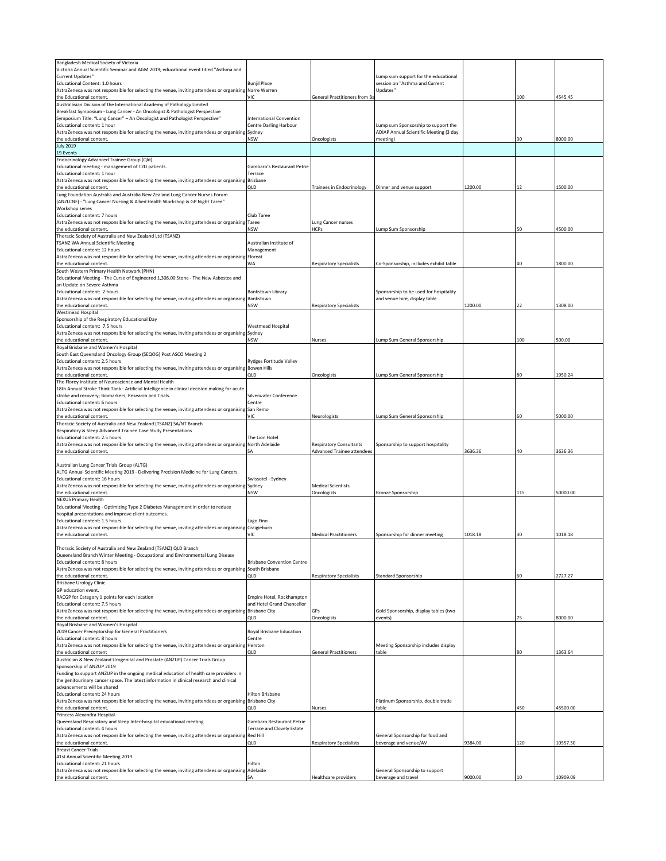| Bangladesh Medical Society of Victoria                                                                                |                                   |                                     |                                                       |         |     |          |
|-----------------------------------------------------------------------------------------------------------------------|-----------------------------------|-------------------------------------|-------------------------------------------------------|---------|-----|----------|
| Victoria Annual Scientific Seminar and AGM 2019; educational event titled "Asthma and                                 |                                   |                                     |                                                       |         |     |          |
| Current Updates"                                                                                                      |                                   |                                     | Lump sum support for the educational                  |         |     |          |
| Educational Content: 1.0 hours                                                                                        | <b>Bunjil Place</b>               |                                     | session on "Asthma and Current                        |         |     |          |
| AstraZeneca was not responsible for selecting the venue, inviting attendees or organising Narre Warren                |                                   |                                     | Updates"                                              |         |     |          |
| the Educational content.                                                                                              | VIC.                              | <b>General Practitioners from B</b> |                                                       |         | 100 | 4545.45  |
| Australasian Division of the International Academy of Pathology Limited                                               |                                   |                                     |                                                       |         |     |          |
| Breakfast Symposium - Lung Cancer - An Oncologist & Pathologist Perspective                                           |                                   |                                     |                                                       |         |     |          |
| Symposium Title: "Lung Cancer" - An Oncologist and Pathologist Perspective"                                           | <b>International Convention</b>   |                                     |                                                       |         |     |          |
| Educational content: 1 hour                                                                                           | <b>Centre Darling Harbour</b>     |                                     | Lump sum Sponsorship to support the                   |         |     |          |
| AstraZeneca was not responsible for selecting the venue, inviting attendees or organising Sydney                      |                                   |                                     | ADIAP Annual Scientific Meeting (3 day                |         |     |          |
| the educational content.                                                                                              | <b>NSW</b>                        | Oncologists                         | meeting)                                              |         | 30  | 8000.00  |
| <b>July 2019</b>                                                                                                      |                                   |                                     |                                                       |         |     |          |
| 19 Events                                                                                                             |                                   |                                     |                                                       |         |     |          |
| Endocrinology Advanced Trainee Group (Qld)                                                                            |                                   |                                     |                                                       |         |     |          |
| Educational meeting - management of T2D patients.                                                                     | Gambaro's Restaurant Petrie       |                                     |                                                       |         |     |          |
| Educational content: 1 hour                                                                                           | Terrace                           |                                     |                                                       |         |     |          |
| AstraZeneca was not responsible for selecting the venue, inviting attendees or organising                             | <b>Brisbane</b>                   |                                     |                                                       |         |     |          |
| the educational content.                                                                                              | QLD                               | <b>Trainees in Endocrinology</b>    | Dinner and venue support                              | 1200.00 | 12  | 1500.00  |
| Lung Foundation Australia and Australia New Zealand Lung Cancer Nurses Forum                                          |                                   |                                     |                                                       |         |     |          |
| (ANZLCNF) - "Lung Cancer Nursing & Allied Health Workshop & GP Night Taree"                                           |                                   |                                     |                                                       |         |     |          |
| Workshop series                                                                                                       |                                   |                                     |                                                       |         |     |          |
| Educational content: 7 hours                                                                                          | Club Taree                        |                                     |                                                       |         |     |          |
| AstraZeneca was not responsible for selecting the venue, inviting attendees or organising                             | Taree                             | Lung Cancer nurses                  |                                                       |         |     |          |
| the educational content.                                                                                              | <b>NSW</b>                        | <b>HCPs</b>                         |                                                       |         | 50  | 4500.00  |
|                                                                                                                       |                                   |                                     | Lump Sum Sponsorship                                  |         |     |          |
| Thoracic Society of Australia and New Zealand Ltd (TSANZ)                                                             |                                   |                                     |                                                       |         |     |          |
| TSANZ WA Annual Scientific Meeting                                                                                    | Australian Institute of           |                                     |                                                       |         |     |          |
| Educational content: 12 hours                                                                                         | Management                        |                                     |                                                       |         |     |          |
| AstraZeneca was not responsible for selecting the venue, inviting attendees or organising Floreat                     |                                   |                                     |                                                       |         |     |          |
| the educational content.                                                                                              | WA                                | <b>Respiratory Specialists</b>      | Co-Sponsorship, includes exhibit table                |         | 40  | 1800.00  |
| South Western Primary Health Network (PHN)                                                                            |                                   |                                     |                                                       |         |     |          |
| Educational Meeting - The Curse of Engineered 1,308.00 Stone - The New Asbestos and                                   |                                   |                                     |                                                       |         |     |          |
| an Update on Severe Asthma                                                                                            |                                   |                                     |                                                       |         |     |          |
| Educational content: 2 hours                                                                                          | <b>Bankstown Library</b>          |                                     | Sponsorship to be used for hospitality                |         |     |          |
| AstraZeneca was not responsible for selecting the venue, inviting attendees or organising Bankstown                   |                                   |                                     | and venue hire, display table                         |         |     |          |
| the educational content.                                                                                              | <b>NSW</b>                        | <b>Respiratory Specialists</b>      |                                                       | 1200.00 | 22  | 1308.00  |
| Westmead Hospital                                                                                                     |                                   |                                     |                                                       |         |     |          |
| Sponsorship of the Respiratory Educational Day                                                                        |                                   |                                     |                                                       |         |     |          |
| Educational content: 7.5 hours                                                                                        | Westmead Hospital                 |                                     |                                                       |         |     |          |
| AstraZeneca was not responsible for selecting the venue, inviting attendees or organising Sydney                      |                                   |                                     |                                                       |         |     |          |
| the educational content.                                                                                              | <b>NSW</b>                        | Nurses                              | Lump Sum General Sponsorship                          |         | 100 | 500.00   |
|                                                                                                                       |                                   |                                     |                                                       |         |     |          |
| Royal Brisbane and Women's Hospital<br>South East Queensland Oncology Group (SEQOG) Post ASCO Meeting 2               |                                   |                                     |                                                       |         |     |          |
|                                                                                                                       |                                   |                                     |                                                       |         |     |          |
| Educational content: 2.5 hours                                                                                        | <b>Rydges Fortitude Valley</b>    |                                     |                                                       |         |     |          |
| AstraZeneca was not responsible for selecting the venue, inviting attendees or organising Bowen Hills                 |                                   |                                     |                                                       |         |     |          |
| the educational content.                                                                                              | QLD                               | Oncologists                         | Lump Sum General Sponsorship                          |         | 80  | 1950.24  |
| The Florey Institute of Neuroscience and Mental Health                                                                |                                   |                                     |                                                       |         |     |          |
| 18th Annual Stroke Think Tank - Artificial Intelligence in clinical decision making for acute                         |                                   |                                     |                                                       |         |     |          |
| stroke and recovery; Biomarkers; Research and Trials.                                                                 | Silverwater Conference            |                                     |                                                       |         |     |          |
| Educational content: 6 hours                                                                                          | Centre                            |                                     |                                                       |         |     |          |
| AstraZeneca was not responsible for selecting the venue, inviting attendees or organising                             | San Remo                          |                                     |                                                       |         |     |          |
| the educational content.                                                                                              | VIC                               | Neurologists                        | Lump Sum General Sponsorship                          |         | 60  | 5000.00  |
| Thoracic Society of Australia and New Zealand (TSANZ) SA/NT Branch                                                    |                                   |                                     |                                                       |         |     |          |
| Respiratory & Sleep Advanced Trainee Case Study Presentations                                                         |                                   |                                     |                                                       |         |     |          |
| Educational content: 2.5 hours                                                                                        | The Lion Hotel                    |                                     |                                                       |         |     |          |
| AstraZeneca was not responsible for selecting the venue, inviting attendees or organising North Adelaide              |                                   | <b>Respiratory Consultants</b>      | Sponsorship to support hospitality                    |         |     |          |
| the educational content.                                                                                              | SA                                | <b>Advanced Trainee attendees</b>   |                                                       | 3636.36 | 40  | 3636.36  |
|                                                                                                                       |                                   |                                     |                                                       |         |     |          |
| Australian Lung Cancer Trials Group (ALTG)                                                                            |                                   |                                     |                                                       |         |     |          |
|                                                                                                                       |                                   |                                     |                                                       |         |     |          |
| ALTG Annual Scientific Meeting 2019 - Delivering Precision Medicine for Lung Cancers.                                 |                                   |                                     |                                                       |         |     |          |
| Educational content: 16 hours                                                                                         | Swissotel - Sydney                |                                     |                                                       |         |     |          |
| AstraZeneca was not responsible for selecting the venue, inviting attendees or organising                             | Sydney                            | <b>Medical Scientists</b>           |                                                       |         |     |          |
| the educational content.                                                                                              | <b>NSW</b>                        | Oncologists                         | <b>Bronze Sponsorship</b>                             |         | 115 | 50000.00 |
| <b>NEXUS Primary Health</b>                                                                                           |                                   |                                     |                                                       |         |     |          |
| Educational Meeting - Optimizing Type 2 Diabetes Management in order to reduce                                        |                                   |                                     |                                                       |         |     |          |
| hospital presentations and improve client outcomes.                                                                   |                                   |                                     |                                                       |         |     |          |
| Educational content: 1.5 hours                                                                                        | Lago Fino                         |                                     |                                                       |         |     |          |
| AstraZeneca was not responsible for selecting the venue, inviting attendees or organising Craigieburn                 |                                   |                                     |                                                       |         |     |          |
| the educational content.                                                                                              | VIC                               | <b>Medical Practitioners</b>        | Sponsorship for dinner meeting                        | 1018.18 | 30  | 1018.18  |
|                                                                                                                       |                                   |                                     |                                                       |         |     |          |
| Thoracic Society of Australia and New Zealand (TSANZ) QLD Branch                                                      |                                   |                                     |                                                       |         |     |          |
| Queensland Branch Winter Meeting - Occupational and Environmental Lung Disease                                        |                                   |                                     |                                                       |         |     |          |
| Educational content: 8 hours                                                                                          | <b>Brisbane Convention Centre</b> |                                     |                                                       |         |     |          |
| AstraZeneca was not responsible for selecting the venue, inviting attendees or organising South Brisbane              |                                   |                                     |                                                       |         |     |          |
| the educational content.                                                                                              | QLD                               | <b>Respiratory Specialists</b>      | <b>Standard Sponsorship</b>                           |         | 60  | 2727.27  |
| <b>Brisbane Urology Clinic</b>                                                                                        |                                   |                                     |                                                       |         |     |          |
| GP education event.                                                                                                   |                                   |                                     |                                                       |         |     |          |
| RACGP for Category 1 points for each location                                                                         | Empire Hotel, Rockhampton         |                                     |                                                       |         |     |          |
| Educational content: 7.5 hours                                                                                        | and Hotel Grand Chancellor        |                                     |                                                       |         |     |          |
| AstraZeneca was not responsible for selecting the venue, inviting attendees or organising                             | <b>Brisbane City</b>              | GPs                                 |                                                       |         |     |          |
|                                                                                                                       |                                   |                                     | Gold Sponsorship, display tables (two                 |         |     | 8000.00  |
| the educational content.<br>Royal Brisbane and Women's Hospital                                                       | QLD                               | Oncologists                         | events)                                               |         | 75  |          |
| 2019 Cancer Preceptorship for General Practitioners                                                                   |                                   |                                     |                                                       |         |     |          |
|                                                                                                                       | Royal Brisbane Education          |                                     |                                                       |         |     |          |
| Educational content: 8 hours                                                                                          | Centre                            |                                     |                                                       |         |     |          |
| AstraZeneca was not responsible for selecting the venue, inviting attendees or organising Herston                     |                                   |                                     | Meeting Sponsorship includes display                  |         |     |          |
| the educational content                                                                                               | QLD                               | <b>General Practitioners</b>        | table                                                 |         | 80  | 1363.64  |
| Australian & New Zealand Urogenital and Prostate (ANZUP) Cancer Trials Group                                          |                                   |                                     |                                                       |         |     |          |
| Sponsorship of ANZUP 2019                                                                                             |                                   |                                     |                                                       |         |     |          |
| Funding to support ANZUP in the ongoing medical education of health care providers in                                 |                                   |                                     |                                                       |         |     |          |
| the genitourinary cancer space. The latest information in clinical research and clinical                              |                                   |                                     |                                                       |         |     |          |
| advancements will be shared                                                                                           |                                   |                                     |                                                       |         |     |          |
| Educational content: 24 hours                                                                                         | <b>Hilton Brisbane</b>            |                                     |                                                       |         |     |          |
| AstraZeneca was not responsible for selecting the venue, inviting attendees or organising Brisbane City               |                                   |                                     | Platinum Sponsorship, double trade                    |         |     |          |
| the educational content.                                                                                              | QLD                               | Nurses                              | table                                                 |         | 450 | 45500.00 |
| Princess Alexandra Hospital                                                                                           |                                   |                                     |                                                       |         |     |          |
| Queensland Respiratory and Sleep Inter-hospital educational meeting                                                   | Gambaro Restaurant Petrie         |                                     |                                                       |         |     |          |
| Educational content: 4 hours                                                                                          | <b>Terrace and Clovely Estate</b> |                                     |                                                       |         |     |          |
| AstraZeneca was not responsible for selecting the venue, inviting attendees or organising Red Hill                    |                                   |                                     | General Sponsorship for food and                      |         |     |          |
| the educational content.                                                                                              | QLD                               | <b>Respiratory Specialists</b>      | beverage and venue/AV                                 | 9384.00 | 120 | 10557.50 |
| <b>Breast Cancer Trials</b>                                                                                           |                                   |                                     |                                                       |         |     |          |
| 41st Annual Scientific Meeting 2019                                                                                   |                                   |                                     |                                                       |         |     |          |
| Educational content: 21 hours                                                                                         |                                   |                                     |                                                       |         |     |          |
|                                                                                                                       |                                   |                                     |                                                       |         |     |          |
|                                                                                                                       | Hilton                            |                                     |                                                       |         |     |          |
| AstraZeneca was not responsible for selecting the venue, inviting attendees or organising<br>the educational content. | Adelaide<br>SΑ                    | Healthcare providers                | General Sponsorship to support<br>beverage and travel | 9000.00 | 10  | 10909.09 |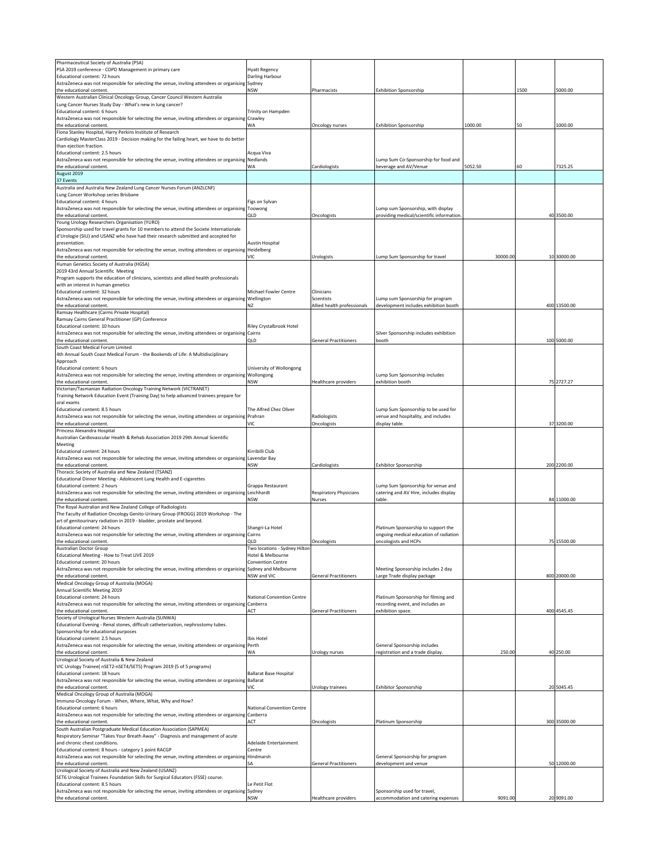| Pharmaceutical Society of Australia (PSA)<br>PSA 2019 conference - COPD Management in primary care                                                 | <b>Hyatt Regency</b>               |                               |                                                                           |          |      |              |
|----------------------------------------------------------------------------------------------------------------------------------------------------|------------------------------------|-------------------------------|---------------------------------------------------------------------------|----------|------|--------------|
| Educational content: 72 hours                                                                                                                      | Darling Harbour                    |                               |                                                                           |          |      |              |
| AstraZeneca was not responsible for selecting the venue, inviting attendees or organising                                                          | Sydney                             |                               |                                                                           |          |      |              |
| the educational content.                                                                                                                           | NSW                                | Pharmacists                   | <b>Exhibition Sponsorship</b>                                             |          | 1500 | 5000.00      |
| Western Australian Clinical Oncology Group, Cancer Council Western Australia                                                                       |                                    |                               |                                                                           |          |      |              |
| Lung Cancer Nurses Study Day - What's new in lung cancer?                                                                                          |                                    |                               |                                                                           |          |      |              |
| Educational content: 6 hours                                                                                                                       | Trinity on Hampden                 |                               |                                                                           |          |      |              |
| AstraZeneca was not responsible for selecting the venue, inviting attendees or organising                                                          | Crawley                            |                               |                                                                           |          |      |              |
| the educational content.                                                                                                                           | WA                                 | Oncology nurses               | <b>Exhibition Sponsorship</b>                                             | 1000.00  | 50   | 1000.00      |
| Fiona Stanley Hospital, Harry Perkins Institute of Research                                                                                        |                                    |                               |                                                                           |          |      |              |
| Cardiology MasterClass 2019 - Decision making for the failing heart, we have to do better                                                          |                                    |                               |                                                                           |          |      |              |
| than eiection fraction.                                                                                                                            |                                    |                               |                                                                           |          |      |              |
| Educational content: 2.5 hours                                                                                                                     | Acqua Viva                         |                               |                                                                           |          |      |              |
| AstraZeneca was not responsible for selecting the venue, inviting attendees or organising                                                          | Nedlands                           |                               | Lump Sum Co-Sponsorship for food and                                      |          |      |              |
| the educational content.                                                                                                                           | WA                                 | Cardiologists                 | beverage and AV/Venue                                                     | 5052.50  | 60   | 7325.25      |
| August 2019                                                                                                                                        |                                    |                               |                                                                           |          |      |              |
| 37 Events                                                                                                                                          |                                    |                               |                                                                           |          |      |              |
| Australia and Australia New Zealand Lung Cancer Nurses Forum (ANZLCNF)                                                                             |                                    |                               |                                                                           |          |      |              |
| Lung Cancer Workshop series Brisbane                                                                                                               |                                    |                               |                                                                           |          |      |              |
| Educational content: 4 hours                                                                                                                       | Figs on Sylvan                     |                               |                                                                           |          |      |              |
| AstraZeneca was not responsible for selecting the venue, inviting attendees or organising Toowong                                                  |                                    |                               | Lump sum Sponsorship, with display                                        |          |      |              |
| the educational content.                                                                                                                           | QLD                                | Oncologists                   | providing medical/scientific information                                  |          |      | 40 3500.00   |
| Young Urology Researchers Organisation (YURO)                                                                                                      |                                    |                               |                                                                           |          |      |              |
| Sponsorship used for travel grants for 10 members to attend the Societe Internationale                                                             |                                    |                               |                                                                           |          |      |              |
| d'Urologie (SIU) and USANZ who have had their research submitted and accepted for                                                                  |                                    |                               |                                                                           |          |      |              |
| presentation.                                                                                                                                      | Austin Hospital                    |                               |                                                                           |          |      |              |
| AstraZeneca was not responsible for selecting the venue, inviting attendees or organising Heidelberg                                               |                                    |                               |                                                                           |          |      | 10 30000.00  |
| the educational content.                                                                                                                           | VIC                                | Urologists                    | Lump Sum Sponsorship for travel                                           | 30000.00 |      |              |
| Human Genetics Society of Australia (HGSA)                                                                                                         |                                    |                               |                                                                           |          |      |              |
| 2019 43rd Annual Scientific Meeting                                                                                                                |                                    |                               |                                                                           |          |      |              |
| Program supports the education of clinicians, scientists and allied health professionals                                                           |                                    |                               |                                                                           |          |      |              |
| with an interest in human genetics<br>Educational content: 32 hours                                                                                | Michael Fowler Centre              |                               |                                                                           |          |      |              |
| AstraZeneca was not responsible for selecting the venue, inviting attendees or organising Wellington                                               |                                    | Clinicians<br>Scientists      |                                                                           |          |      |              |
| the educational content.                                                                                                                           | ΝZ                                 | Allied health professionals   | Lump sum Sponsorship for program<br>development includes exhibition booth |          |      | 400 13500.00 |
| Ramsay Healthcare (Cairns Private Hospital)                                                                                                        |                                    |                               |                                                                           |          |      |              |
|                                                                                                                                                    |                                    |                               |                                                                           |          |      |              |
| Ramsay Cairns General Practitioner (GP) Conference                                                                                                 |                                    |                               |                                                                           |          |      |              |
| Educational content: 10 hours<br>AstraZeneca was not responsible for selecting the venue, inviting attendees or organising                         | Riley Crystalbrook Hotel<br>Cairns |                               | Silver Sponsorship includes exhibition                                    |          |      |              |
| the educational content.                                                                                                                           | QLD                                | <b>General Practitioners</b>  | booth                                                                     |          |      | 100 5000.00  |
|                                                                                                                                                    |                                    |                               |                                                                           |          |      |              |
| South Coast Medical Forum Limited                                                                                                                  |                                    |                               |                                                                           |          |      |              |
| 4th Annual South Coast Medical Forum - the Bookends of Life: A Multidisciplinary                                                                   |                                    |                               |                                                                           |          |      |              |
| Approach                                                                                                                                           |                                    |                               |                                                                           |          |      |              |
| Educational content: 6 hours                                                                                                                       | University of Wollongong           |                               |                                                                           |          |      |              |
| AstraZeneca was not responsible for selecting the venue, inviting attendees or organising Wollongong                                               | NSW                                |                               | Lump Sum Sponsorship includes                                             |          |      | 75 2727.27   |
| the educational content.                                                                                                                           |                                    | Healthcare providers          | exhibition booth                                                          |          |      |              |
| Victorian/Tasmanian Radiation Oncology Training Network (VICTRANET)                                                                                |                                    |                               |                                                                           |          |      |              |
| Training Network Education Event (Training Day) to help advanced trainees prepare for<br>oral exams                                                |                                    |                               |                                                                           |          |      |              |
| Educational content: 8.5 hours                                                                                                                     | The Alfred Chez Oliver             |                               | Lump Sum Sponsorship to be used for                                       |          |      |              |
| AstraZeneca was not responsible for selecting the venue, inviting attendees or organising Prahran                                                  |                                    | Radiologists                  | venue and hospitality, and includes                                       |          |      |              |
| the educational content.                                                                                                                           | VIC                                | Oncologists                   | display table                                                             |          |      | 37 3200.00   |
|                                                                                                                                                    |                                    |                               |                                                                           |          |      |              |
| Princess Alexandra Hospital                                                                                                                        |                                    |                               |                                                                           |          |      |              |
| Australian Cardiovascular Health & Rehab Association 2019 29th Annual Scientific                                                                   |                                    |                               |                                                                           |          |      |              |
| Meeting                                                                                                                                            | Kirribilli Club                    |                               |                                                                           |          |      |              |
| Educational content: 24 hours                                                                                                                      |                                    |                               |                                                                           |          |      |              |
| AstraZeneca was not responsible for selecting the venue, inviting attendees or organising Lavendar Bay<br>the educational content.                 | NSW                                |                               | Exhibitor Sponsorship                                                     |          |      | 200 2200.00  |
|                                                                                                                                                    |                                    | Cardiologists                 |                                                                           |          |      |              |
| Thoracic Society of Australia and New Zealand (TSANZ)                                                                                              |                                    |                               |                                                                           |          |      |              |
| Educational Dinner Meeting - Adolescent Lung Health and E-cigarettes<br>Educational content: 2 hours                                               | Grappa Restaurant                  |                               | Lump Sum Sponsorship for venue and                                        |          |      |              |
|                                                                                                                                                    | Leichhardt                         |                               |                                                                           |          |      |              |
| AstraZeneca was not responsible for selecting the venue, inviting attendees or organising<br>the educational content.                              |                                    | <b>Respiratory Physicians</b> | catering and AV Hire, includes display<br>table.                          |          |      | 84 11000.00  |
|                                                                                                                                                    | NSW                                | Nurses                        |                                                                           |          |      |              |
| The Royal Australian and New Zealand College of Radiologists<br>The Faculty of Radiation Oncology Genito-Urinary Group (FROGG) 2019 Workshop - The |                                    |                               |                                                                           |          |      |              |
|                                                                                                                                                    |                                    |                               |                                                                           |          |      |              |
| art of genitourinary radiation in 2019 - bladder, prostate and beyond.<br>Educational content: 24 hours                                            | Shangri-La Hotel                   |                               | Platinum Sponsorship to support the                                       |          |      |              |
| AstraZeneca was not responsible for selecting the venue, inviting attendees or organising                                                          | Cairns                             |                               |                                                                           |          |      |              |
| the educational content.                                                                                                                           | QLD                                | Oncologists                   | ongoing medical education of radiation<br>oncologists and HCPs            |          |      | 75 15500.00  |
| Australian Doctor Group                                                                                                                            | Two locations - Sydney Hilton      |                               |                                                                           |          |      |              |
| Educational Meeting - How to Treat LIVE 2019                                                                                                       | Hotel & Melbourne                  |                               |                                                                           |          |      |              |
| Educational content: 20 hours                                                                                                                      | <b>Convention Centre</b>           |                               |                                                                           |          |      |              |
| AstraZeneca was not responsible for selecting the venue, inviting attendees or organising Sydney and Melbourne                                     |                                    |                               | Meeting Sponsorship includes 2 day                                        |          |      |              |
| the educational content.                                                                                                                           | NSW and VIC                        | <b>General Practitioners</b>  | Large Trade display package                                               |          |      | 800 20000.00 |
| Medical Oncology Group of Australia (MOGA)                                                                                                         |                                    |                               |                                                                           |          |      |              |
| Annual Scientific Meeting 2019                                                                                                                     |                                    |                               |                                                                           |          |      |              |
| Educational content: 24 hours                                                                                                                      | National Convention Centre         |                               | Platinum Sponsorship for filming and                                      |          |      |              |
| AstraZeneca was not responsible for selecting the venue, inviting attendees or organising                                                          | Canberra                           |                               | recording event, and includes an                                          |          |      |              |
| the educational content.                                                                                                                           | ACT                                | <b>General Practitioners</b>  | exhibition space.                                                         |          |      | 400 4545.45  |
| Society of Urological Nurses Western Australia (SUNWA)                                                                                             |                                    |                               |                                                                           |          |      |              |
| Educational Evening - Renal stones, difficult catheterization, nephrostomy tubes.                                                                  |                                    |                               |                                                                           |          |      |              |
| Sponsorship for educational purposes                                                                                                               |                                    |                               |                                                                           |          |      |              |
| Educational content: 2.5 hours                                                                                                                     | Ibis Hotel                         |                               |                                                                           |          |      |              |
| AstraZeneca was not responsible for selecting the venue, inviting attendees or organising Perth                                                    |                                    |                               | General Sponsorship includes                                              |          |      |              |
| the educational content.                                                                                                                           | WA                                 | <b>Urology nurses</b>         | registration and a trade display.                                         | 250.00   |      | 40 250.00    |
| Urological Society of Australia & New Zealand                                                                                                      |                                    |                               |                                                                           |          |      |              |
| VIC Urology Trainee( nSET2-nSET4/SET5) Program 2019 (5 of 5 programs)                                                                              |                                    |                               |                                                                           |          |      |              |
| Educational content: 18 hours                                                                                                                      | <b>Ballarat Base Hospital</b>      |                               |                                                                           |          |      |              |
| AstraZeneca was not responsible for selecting the venue, inviting attendees or organising Ballarat                                                 |                                    |                               |                                                                           |          |      |              |
| the educational content.                                                                                                                           | VIC                                | Urology trainees              | <b>Exhibitor Sponsorship</b>                                              |          |      | 20 5045.45   |
| Medical Oncology Group of Australia (MOGA)                                                                                                         |                                    |                               |                                                                           |          |      |              |
| Immuno-Oncology Forum - When, Where, What, Why and How?                                                                                            |                                    |                               |                                                                           |          |      |              |
| Educational content: 6 hours                                                                                                                       | National Convention Centre         |                               |                                                                           |          |      |              |
| AstraZeneca was not responsible for selecting the venue, inviting attendees or organising                                                          | Canberra                           |                               |                                                                           |          |      |              |
| the educational content.                                                                                                                           | ACT                                | Oncologists                   | Platinum Sponsorship                                                      |          |      | 300 35000.00 |
| South Australian Postgraduate Medical Education Association (SAPMEA)                                                                               |                                    |                               |                                                                           |          |      |              |
| Respiratory Seminar "Takes Your Breath Away" - Diagnosis and management of acute                                                                   |                                    |                               |                                                                           |          |      |              |
| and chronic chest conditions.                                                                                                                      | Adelaide Entertainment             |                               |                                                                           |          |      |              |
| Educational content: 8 hours - category 1 point RACGP                                                                                              | Centre                             |                               |                                                                           |          |      |              |
| AstraZeneca was not responsible for selecting the venue, inviting attendees or organising                                                          | Hindmarsh                          |                               | General Sponsorship for program                                           |          |      |              |
| the educational content.                                                                                                                           | SА                                 | <b>General Practitioners</b>  | development and venue                                                     |          |      | 50 12000.00  |
| Urological Society of Australia and New Zealand (USANZ)                                                                                            |                                    |                               |                                                                           |          |      |              |
| SET6 Urological Trainees Foundation Skills for Surgical Educators (FSSE) course.                                                                   |                                    |                               |                                                                           |          |      |              |
| Educational content: 8.5 hours                                                                                                                     | Le Petit Flot                      |                               |                                                                           |          |      |              |
|                                                                                                                                                    |                                    |                               |                                                                           |          |      |              |
| AstraZeneca was not responsible for selecting the venue, inviting attendees or organising Sydney<br>the educational content.                       | <b>NSW</b>                         | Healthcare providers          | Sponsorship used for travel,<br>accommodation and catering expenses       | 9091.00  |      | 20 9091.00   |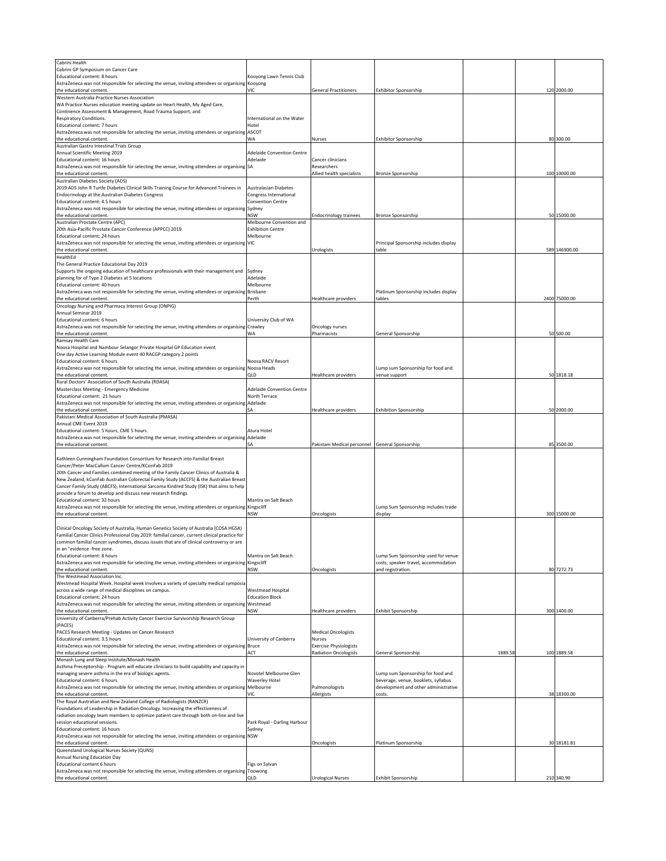| Cabrini Health                                                                                                                                           |                                   |                                                 |                                        |        |               |
|----------------------------------------------------------------------------------------------------------------------------------------------------------|-----------------------------------|-------------------------------------------------|----------------------------------------|--------|---------------|
| Cabrini GP Symposium on Cancer Care                                                                                                                      | Kooyong Lawn Tennis Club          |                                                 |                                        |        |               |
| Educational content: 8 hours                                                                                                                             |                                   |                                                 |                                        |        |               |
| AstraZeneca was not responsible for selecting the venue, inviting attendees or organising<br>the educational content                                     | Kooyong<br>VIC                    | <b>General Practitioners</b>                    | <b>Exhibitor Sponsorship</b>           |        | 120 2000.00   |
|                                                                                                                                                          |                                   |                                                 |                                        |        |               |
| Western Australia Practice Nurses Association                                                                                                            |                                   |                                                 |                                        |        |               |
| WA Practice Nurses education meeting update on Heart Health, My Aged Care,<br>Continence Assessment & Management, Road Trauma Support, and               |                                   |                                                 |                                        |        |               |
| Respiratory Conditions.                                                                                                                                  | International on the Water        |                                                 |                                        |        |               |
| Educational content: 7 hours                                                                                                                             | Hotel                             |                                                 |                                        |        |               |
| AstraZeneca was not responsible for selecting the venue, inviting attendees or organising ASCOT                                                          |                                   |                                                 |                                        |        |               |
| the educational content                                                                                                                                  | WA                                | <b>Nurses</b>                                   | <b>Exhibitor Sponsorship</b>           |        | 80 300.00     |
| Australian Gastro Intestinal Trials Group                                                                                                                |                                   |                                                 |                                        |        |               |
| Annual Scientific Meeting 2019                                                                                                                           | <b>Adelaide Convention Centre</b> |                                                 |                                        |        |               |
| Educational content: 16 hours                                                                                                                            | Adelaide                          | Cancer clinicians                               |                                        |        |               |
| AstraZeneca was not responsible for selecting the venue, inviting attendees or organising SA                                                             |                                   | Researchers                                     |                                        |        |               |
| the educational content.                                                                                                                                 |                                   | Allied health specialists                       |                                        |        | 100 10000.00  |
| Australian Diabetes Society (ADS)                                                                                                                        |                                   |                                                 | Bronze Sponsorship                     |        |               |
| 2019 ADS John R Turtle Diabetes Clinical Skills Training Course for Advanced Trainees in                                                                 | <b>Australasian Diabetes</b>      |                                                 |                                        |        |               |
|                                                                                                                                                          | Congress International            |                                                 |                                        |        |               |
| Endocrinology at the Australian Diabetes Congress                                                                                                        |                                   |                                                 |                                        |        |               |
| Educational content: 4.5 hours                                                                                                                           | <b>Convention Centre</b>          |                                                 |                                        |        |               |
| AstraZeneca was not responsible for selecting the venue, inviting attendees or organising                                                                | Sydney                            |                                                 |                                        |        |               |
| the educational content.                                                                                                                                 | NSW                               | <b>Endocrinology trainees</b>                   | Bronze Sponsorship                     |        | 50 15000.00   |
| Australian Prostate Centre (APC)                                                                                                                         | Melbourne Convention and          |                                                 |                                        |        |               |
| 20th Asia-Pacific Prostate Cancer Conference (APPCC) 2019                                                                                                | <b>Exhibition Centre</b>          |                                                 |                                        |        |               |
| Educational content: 24 hours                                                                                                                            | Melbourne                         |                                                 |                                        |        |               |
| AstraZeneca was not responsible for selecting the venue, inviting attendees or organising VIC                                                            |                                   |                                                 | Principal Sponsorship includes display |        |               |
| the educational content.                                                                                                                                 |                                   | Urologists                                      | table                                  |        | 589 146900.00 |
| HealthEd                                                                                                                                                 |                                   |                                                 |                                        |        |               |
| The General Practice Educational Day 2019                                                                                                                |                                   |                                                 |                                        |        |               |
| Supports the ongoing education of healthcare professionals with their management and                                                                     | Sydney                            |                                                 |                                        |        |               |
| planning for of Type 2 Diabetes at 5 locations                                                                                                           | Adelaide                          |                                                 |                                        |        |               |
| Educational content: 40 hours                                                                                                                            | Melbourne                         |                                                 |                                        |        |               |
| AstraZeneca was not responsible for selecting the venue, inviting attendees or organising                                                                | <b>Brisbane</b>                   |                                                 | Platinum Sponsorship includes display  |        |               |
| the educational content.                                                                                                                                 | Perth                             | Healthcare providers                            | tables                                 |        | 2400 75000.00 |
| Oncology Nursing and Pharmacy Interest Group (ONPIG)                                                                                                     |                                   |                                                 |                                        |        |               |
| Annual Seminar 2019                                                                                                                                      |                                   |                                                 |                                        |        |               |
| Educational content: 6 hours                                                                                                                             | University Club of WA             |                                                 |                                        |        |               |
| AstraZeneca was not responsible for selecting the venue, inviting attendees or organising                                                                | Crawley                           | Oncology nurses                                 |                                        |        |               |
| the educational content.                                                                                                                                 | WA.                               | Pharmacists                                     | General Sponsorship                    |        | 50 500.00     |
| Ramsay Health Care                                                                                                                                       |                                   |                                                 |                                        |        |               |
| Noosa Hospital and Nambour Selangor Private Hospital GP Education event                                                                                  |                                   |                                                 |                                        |        |               |
| One day Active Learning Module event 40 RACGP category 2 points                                                                                          |                                   |                                                 |                                        |        |               |
| Educational content: 6 hours                                                                                                                             | Noosa RACV Resort                 |                                                 |                                        |        |               |
| AstraZeneca was not responsible for selecting the venue, inviting attendees or organising                                                                | Noosa Heads                       |                                                 | Lump sum Sponsorship for food and      |        |               |
| the educational content.                                                                                                                                 | OLD                               | Healthcare providers                            | venue support                          |        | 50 1818.18    |
| Rural Doctors' Association of South Australia (RDASA)                                                                                                    |                                   |                                                 |                                        |        |               |
| Masterclass Meeting - Emergency Medicine                                                                                                                 | <b>Adelaide Convention Centre</b> |                                                 |                                        |        |               |
| Educational content: 21 hours                                                                                                                            | North Terrace                     |                                                 |                                        |        |               |
| AstraZeneca was not responsible for selecting the venue, inviting attendees or organising                                                                | Adelaide                          |                                                 |                                        |        |               |
| the educational content                                                                                                                                  | SΑ                                | Healthcare providers                            | <b>Exhibition Sponsorship</b>          |        | 50 2000.00    |
| Pakistani Medical Association of South Australia (PMASA)                                                                                                 |                                   |                                                 |                                        |        |               |
| Annual CME Event 2019                                                                                                                                    |                                   |                                                 |                                        |        |               |
| Educational content: 5 hours, CME 5 hours                                                                                                                | Atura Hotel                       |                                                 |                                        |        |               |
| AstraZeneca was not responsible for selecting the venue, inviting attendees or organising                                                                | Adelaide                          |                                                 |                                        |        |               |
|                                                                                                                                                          | SА                                | Pakistani Medical personnel General Sponsorship |                                        |        | 85 3500.00    |
| the educational content.                                                                                                                                 |                                   |                                                 |                                        |        |               |
| Kathleen Cunningham Foundation Consortium for Research into Familial Breast                                                                              |                                   |                                                 |                                        |        |               |
| Cancer/Peter MacCallum Cancer Centre/KConFab 2019                                                                                                        |                                   |                                                 |                                        |        |               |
|                                                                                                                                                          |                                   |                                                 |                                        |        |               |
| 20th Cancer and Families combined meeting of the Family Cancer Clinics of Australia &                                                                    |                                   |                                                 |                                        |        |               |
| New Zealand, kConFab Australian Colorectal Family Study (ACCFS) & the Australian Breas                                                                   |                                   |                                                 |                                        |        |               |
| Cancer Family Study (ABCFS), International Sarcoma Kindred Study (ISK) that aims to help<br>provide a forum to develop and discuss new research findings |                                   |                                                 |                                        |        |               |
|                                                                                                                                                          |                                   |                                                 |                                        |        |               |
| Educational content: 32 hours                                                                                                                            | Mantra on Salt Beach              |                                                 |                                        |        |               |
| AstraZeneca was not responsible for selecting the venue, inviting attendees or organising Kingscliff                                                     |                                   |                                                 | Lump Sum Sponsorship includes trade    |        |               |
| the educational content.                                                                                                                                 | NSW                               | Oncologists                                     | display                                |        | 300 15000.00  |
|                                                                                                                                                          |                                   |                                                 |                                        |        |               |
| Clinical Oncology Society of Australia, Human Genetics Society of Australia (COSA HGSA)                                                                  |                                   |                                                 |                                        |        |               |
| Familial Cancer Clinics Professional Day 2019: familial cancer, current clinical practice for                                                            |                                   |                                                 |                                        |        |               |
| common familial cancer syndromes, discuss issues that are of clinical controversy or are                                                                 |                                   |                                                 |                                        |        |               |
| in an "evidence -free zone.                                                                                                                              |                                   |                                                 |                                        |        |               |
| Educational content: 8 hours                                                                                                                             | Mantra on Salt Beach              |                                                 | Lump Sum Sponsorship used for venue    |        |               |
| AstraZeneca was not responsible for selecting the venue, inviting attendees or organising Kingscliff                                                     |                                   |                                                 | costs, speaker travel, accommodation   |        |               |
| the educational content.                                                                                                                                 | <b>NSW</b>                        | Oncologists                                     | and registration.                      |        | 80 7272.73    |
| The Westmead Association Inc.                                                                                                                            |                                   |                                                 |                                        |        |               |
| Westmead Hospital Week. Hospital week involves a variety of specialty medical symposia                                                                   |                                   |                                                 |                                        |        |               |
| across a wide range of medical disciplines on campus.                                                                                                    | <b>Westmead Hospital</b>          |                                                 |                                        |        |               |
| Educational content: 24 hours                                                                                                                            | <b>Education Block</b>            |                                                 |                                        |        |               |
| AstraZeneca was not responsible for selecting the venue, inviting attendees or organising                                                                | Westmead                          |                                                 |                                        |        |               |
| the educational content.                                                                                                                                 | NSW                               | Healthcare providers                            | Exhibit Sponsorship                    |        | 300 1400.00   |
| University of Canberra/Prehab Activity Cancer Exercise Survivorship Research Group                                                                       |                                   |                                                 |                                        |        |               |
| (PACES)                                                                                                                                                  |                                   |                                                 |                                        |        |               |
| PACES Research Meeting - Updates on Cancer Research                                                                                                      |                                   | <b>Medical Oncologists</b>                      |                                        |        |               |
| Educational content: 3.5 hours                                                                                                                           | University of Canberra            | Nurses                                          |                                        |        |               |
| AstraZeneca was not responsible for selecting the venue, inviting attendees or organising Bruce                                                          |                                   | <b>Exercise Physiologists</b>                   |                                        |        |               |
| the educational content.                                                                                                                                 | ACT                               | <b>Radiation Oncologists</b>                    | General Sponsorship                    | 1889.5 | 100 1889.58   |
| Monash Lung and Sleep Institute/Monash Health                                                                                                            |                                   |                                                 |                                        |        |               |
| Asthma Preceptorship - Program will educate clinicians to build capability and capacity in                                                               |                                   |                                                 |                                        |        |               |
| managing severe asthma in the era of biologic agents.                                                                                                    | Novotel Melbourne Glen            |                                                 | Lump sum Sponsorship for food and      |        |               |
| Educational content: 6 hours                                                                                                                             | <b>Waverley Hotel</b>             |                                                 | beverage, venue, booklets, syllabus    |        |               |
| AstraZeneca was not responsible for selecting the venue, inviting attendees or organising Melbourne                                                      |                                   | Pulmonologists                                  | development and other administrative   |        |               |
| the educational content.                                                                                                                                 | VIC                               | Allergists                                      | costs.                                 |        | 38 18300.00   |
| The Royal Australian and New Zealand College of Radiologists (RANZCR)                                                                                    |                                   |                                                 |                                        |        |               |
| Foundations of Leadership in Radiation Oncology. Increasing the effectiveness of                                                                         |                                   |                                                 |                                        |        |               |
| radiation oncology team members to optimize patient care through both on-line and live                                                                   |                                   |                                                 |                                        |        |               |
| session educational sessions.                                                                                                                            | Park Royal - Darling Harbour      |                                                 |                                        |        |               |
| Educational content: 16 hours                                                                                                                            | Sydney                            |                                                 |                                        |        |               |
| AstraZeneca was not responsible for selecting the venue, inviting attendees or organising NSW                                                            |                                   |                                                 |                                        |        |               |
| the educational content.                                                                                                                                 |                                   |                                                 |                                        |        |               |
|                                                                                                                                                          |                                   |                                                 |                                        |        |               |
|                                                                                                                                                          |                                   | Oncologists                                     | Platinum Sponsorship                   |        | 30 18181.81   |
| Queensland Urological Nurses Society (QUNS)                                                                                                              |                                   |                                                 |                                        |        |               |
| Annual Nursing Education Day                                                                                                                             |                                   |                                                 |                                        |        |               |
| <b>Educational content 6 hours</b><br>AstraZeneca was not responsible for selecting the venue, inviting attendees or organising Toowong                  | Figs on Sylvan                    |                                                 |                                        |        |               |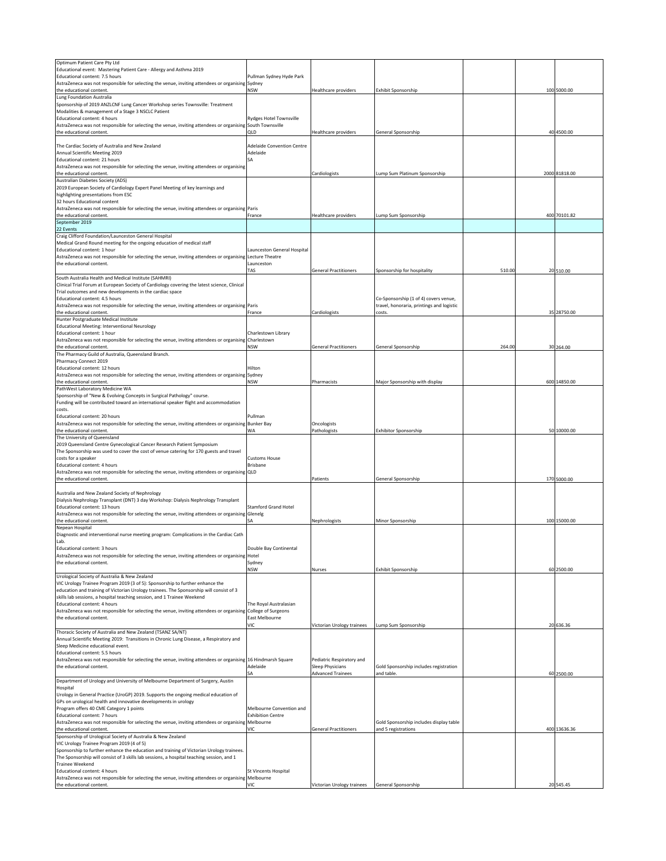| Optimum Patient Care Pty Ltd                                                                                                        |                                   |                              |                                           |        |               |
|-------------------------------------------------------------------------------------------------------------------------------------|-----------------------------------|------------------------------|-------------------------------------------|--------|---------------|
| Educational event: Mastering Patient Care - Allergy and Asthma 2019                                                                 |                                   |                              |                                           |        |               |
| Educational content: 7.5 hours                                                                                                      | Pullman Sydney Hyde Park          |                              |                                           |        |               |
| AstraZeneca was not responsible for selecting the venue, inviting attendees or organising Sydney                                    |                                   |                              |                                           |        |               |
| the educational content.                                                                                                            | <b>NSW</b>                        | Healthcare providers         | <b>Exhibit Sponsorship</b>                |        | 100 5000.00   |
| Lung Foundation Australia                                                                                                           |                                   |                              |                                           |        |               |
| Sponsorship of 2019 ANZLCNF Lung Cancer Workshop series Townsville: Treatment                                                       |                                   |                              |                                           |        |               |
| Modalities & management of a Stage 3 NSCLC Patient                                                                                  |                                   |                              |                                           |        |               |
| Educational content: 4 hours                                                                                                        | <b>Rydges Hotel Townsville</b>    |                              |                                           |        |               |
| AstraZeneca was not responsible for selecting the venue, inviting attendees or organising South Townsville                          |                                   |                              |                                           |        |               |
| the educational content.                                                                                                            | QLD                               | <b>Healthcare providers</b>  | General Sponsorship                       |        | 40 4500.00    |
|                                                                                                                                     |                                   |                              |                                           |        |               |
| The Cardiac Society of Australia and New Zealand                                                                                    | <b>Adelaide Convention Centre</b> |                              |                                           |        |               |
| Annual Scientific Meeting 2019                                                                                                      | Adelaide                          |                              |                                           |        |               |
| Educational content: 21 hours                                                                                                       | SA                                |                              |                                           |        |               |
| AstraZeneca was not responsible for selecting the venue, inviting attendees or organising                                           |                                   |                              |                                           |        |               |
| the educational content.                                                                                                            |                                   |                              |                                           |        |               |
|                                                                                                                                     |                                   | Cardiologists                | Lump Sum Platinum Sponsorship             |        | 2000 81818.00 |
| Australian Diabetes Society (ADS)                                                                                                   |                                   |                              |                                           |        |               |
| 2019 European Society of Cardiology Expert Panel Meeting of key learnings and                                                       |                                   |                              |                                           |        |               |
| highlighting presentations from ESC                                                                                                 |                                   |                              |                                           |        |               |
| 32 hours Educational content                                                                                                        |                                   |                              |                                           |        |               |
| AstraZeneca was not responsible for selecting the venue, inviting attendees or organising Paris                                     |                                   |                              |                                           |        |               |
| the educational content.                                                                                                            | France                            | Healthcare providers         | Lump Sum Sponsorship                      |        | 400 70101.82  |
| September 2019                                                                                                                      |                                   |                              |                                           |        |               |
| 22 Events                                                                                                                           |                                   |                              |                                           |        |               |
| Craig Clifford Foundation/Launceston General Hospital                                                                               |                                   |                              |                                           |        |               |
| Medical Grand Round meeting for the ongoing education of medical staff                                                              |                                   |                              |                                           |        |               |
| Educational content: 1 hour                                                                                                         | Launceston General Hospital       |                              |                                           |        |               |
| AstraZeneca was not responsible for selecting the venue, inviting attendees or organising Lecture Theatre                           |                                   |                              |                                           |        |               |
| the educational content.                                                                                                            | Launceston                        |                              |                                           |        |               |
|                                                                                                                                     | TAS                               | <b>General Practitioners</b> | Sponsorship for hospitality               | 510.00 | 20 510.00     |
|                                                                                                                                     |                                   |                              |                                           |        |               |
| South Australia Health and Medical Institute (SAHMRI)                                                                               |                                   |                              |                                           |        |               |
| Clinical Trial Forum at European Society of Cardiology covering the latest science, Clinical                                        |                                   |                              |                                           |        |               |
| Trial outcomes and new developments in the cardiac space                                                                            |                                   |                              |                                           |        |               |
| Educational content: 4.5 hours                                                                                                      |                                   |                              | Co-Sponsorship (1 of 4) covers venue,     |        |               |
| AstraZeneca was not responsible for selecting the venue, inviting attendees or organising Paris                                     |                                   |                              | travel, honoraria, printings and logistic |        |               |
| the educational content.                                                                                                            | France                            | Cardiologists                | costs.                                    |        | 35 28750.00   |
| Hunter Postgraduate Medical Institute                                                                                               |                                   |                              |                                           |        |               |
| <b>Educational Meeting: Interventional Neurology</b>                                                                                |                                   |                              |                                           |        |               |
| Educational content: 1 hour                                                                                                         | Charlestown Library               |                              |                                           |        |               |
| AstraZeneca was not responsible for selecting the venue, inviting attendees or organising Charlestown                               |                                   |                              |                                           |        |               |
| the educational content.                                                                                                            | <b>NSW</b>                        | <b>General Practitioners</b> | General Sponsorship                       | 264.00 | 30 264.00     |
| The Pharmacy Guild of Australia, Queensland Branch.                                                                                 |                                   |                              |                                           |        |               |
| Pharmacy Connect 2019                                                                                                               |                                   |                              |                                           |        |               |
|                                                                                                                                     |                                   |                              |                                           |        |               |
| Educational content: 12 hours                                                                                                       | Hilton                            |                              |                                           |        |               |
| AstraZeneca was not responsible for selecting the venue, inviting attendees or organising Sydney                                    |                                   |                              |                                           |        |               |
| the educational content.                                                                                                            | <b>NSW</b>                        | Pharmacists                  | Major Sponsorship with display            |        | 600 14850.00  |
| PathWest Laboratory Medicine WA                                                                                                     |                                   |                              |                                           |        |               |
| Sponsorship of "New & Evolving Concepts in Surgical Pathology" course.                                                              |                                   |                              |                                           |        |               |
| Funding will be contributed toward an international speaker flight and accommodation                                                |                                   |                              |                                           |        |               |
| costs.                                                                                                                              |                                   |                              |                                           |        |               |
| Educational content: 20 hours                                                                                                       | Pullman                           |                              |                                           |        |               |
| AstraZeneca was not responsible for selecting the venue, inviting attendees or organising Bunker Bay                                |                                   | Oncologists                  |                                           |        |               |
| the educational content.                                                                                                            | WA                                | Pathologists                 | <b>Exhibitor Sponsorship</b>              |        | 50 10000.00   |
| The University of Queensland                                                                                                        |                                   |                              |                                           |        |               |
| 2019 Queensland Centre Gynecological Cancer Research Patient Symposium                                                              |                                   |                              |                                           |        |               |
|                                                                                                                                     |                                   |                              |                                           |        |               |
| The Sponsorship was used to cover the cost of venue catering for 170 guests and travel                                              |                                   |                              |                                           |        |               |
| costs for a speaker                                                                                                                 | <b>Customs House</b>              |                              |                                           |        |               |
| Educational content: 4 hours                                                                                                        | <b>Brisbane</b>                   |                              |                                           |        |               |
| AstraZeneca was not responsible for selecting the venue, inviting attendees or organising QLD                                       |                                   |                              |                                           |        |               |
| the educational content.                                                                                                            |                                   | Patients                     | General Sponsorship                       |        | 170 5000.00   |
|                                                                                                                                     |                                   |                              |                                           |        |               |
| Australia and New Zealand Society of Nephrology                                                                                     |                                   |                              |                                           |        |               |
| Dialysis Nephrology Transplant (DNT) 3 day Workshop: Dialysis Nephrology Transplant                                                 |                                   |                              |                                           |        |               |
| Educational content: 13 hours                                                                                                       | <b>Stamford Grand Hotel</b>       |                              |                                           |        |               |
| AstraZeneca was not responsible for selecting the venue, inviting attendees or organising Glenelg                                   |                                   |                              |                                           |        |               |
| the educational content.                                                                                                            | SΑ                                | Nephrologists                | Minor Sponsorship                         |        | 100 15000.00  |
| Nepean Hospital                                                                                                                     |                                   |                              |                                           |        |               |
| Diagnostic and interventional nurse meeting program: Complications in the Cardiac Cath                                              |                                   |                              |                                           |        |               |
| Lab.                                                                                                                                |                                   |                              |                                           |        |               |
| Educational content: 3 hours                                                                                                        | Double Bay Continental            |                              |                                           |        |               |
| AstraZeneca was not responsible for selecting the venue, inviting attendees or organising Hotel                                     |                                   |                              |                                           |        |               |
|                                                                                                                                     |                                   |                              |                                           |        |               |
| the educational content.                                                                                                            | Sydney                            |                              |                                           |        |               |
|                                                                                                                                     | <b>NSW</b>                        | Nurses                       | Exhibit Sponsorship                       |        | 60 2500.00    |
| Urological Society of Australia & New Zealand                                                                                       |                                   |                              |                                           |        |               |
| VIC Urology Trainee Program 2019 (3 of 5): Sponsorship to further enhance the                                                       |                                   |                              |                                           |        |               |
| education and training of Victorian Urology trainees. The Sponsorship will consist of 3                                             |                                   |                              |                                           |        |               |
| skills lab sessions, a hospital teaching session, and 1 Trainee Weekend                                                             |                                   |                              |                                           |        |               |
| Educational content: 4 hours                                                                                                        | The Royal Australasian            |                              |                                           |        |               |
| AstraZeneca was not responsible for selecting the venue, inviting attendees or organising College of Surgeons                       |                                   |                              |                                           |        |               |
| the educational content.                                                                                                            | East Melbourne                    |                              |                                           |        |               |
|                                                                                                                                     | <b>VIC</b>                        | Victorian Urology trainees   | Lump Sum Sponsorship                      |        | 20 636.36     |
| Thoracic Society of Australia and New Zealand (TSANZ SA/NT)                                                                         |                                   |                              |                                           |        |               |
| Annual Scientific Meeting 2019: Transitions in Chronic Lung Disease, a Respiratory and                                              |                                   |                              |                                           |        |               |
| Sleep Medicine educational event.                                                                                                   |                                   |                              |                                           |        |               |
| Educational content: 5.5 hours                                                                                                      |                                   |                              |                                           |        |               |
|                                                                                                                                     |                                   |                              |                                           |        |               |
| AstraZeneca was not responsible for selecting the venue, inviting attendees or organising 16 Hindmarsh Square                       |                                   |                              |                                           |        |               |
|                                                                                                                                     |                                   | Pediatric Respiratory and    |                                           |        |               |
| the educational content.                                                                                                            | Adelaide                          | Sleep Physicians             | Gold Sponsorship includes registration    |        |               |
|                                                                                                                                     | SA                                | <b>Advanced Trainees</b>     | and table.                                |        | 60 2500.00    |
| Department of Urology and University of Melbourne Department of Surgery, Austin                                                     |                                   |                              |                                           |        |               |
| Hospital                                                                                                                            |                                   |                              |                                           |        |               |
| Urology in General Practice (UroGP) 2019. Supports the ongoing medical education of                                                 |                                   |                              |                                           |        |               |
| GPs on urological health and innovative developments in urology                                                                     |                                   |                              |                                           |        |               |
| Program offers 40 CME Category 1 points                                                                                             | Melbourne Convention and          |                              |                                           |        |               |
| Educational content: 7 hours                                                                                                        | <b>Exhibition Centre</b>          |                              |                                           |        |               |
| AstraZeneca was not responsible for selecting the venue, inviting attendees or organising Melbourne                                 |                                   |                              | Gold Sponsorship includes display table   |        |               |
| the educational content.                                                                                                            | VIC                               | <b>General Practitioners</b> | and 5 registrations                       |        |               |
|                                                                                                                                     |                                   |                              |                                           |        | 400 13636.36  |
| Sponsorship of Urological Society of Australia & New Zealand                                                                        |                                   |                              |                                           |        |               |
| VIC Urology Trainee Program 2019 (4 of 5)                                                                                           |                                   |                              |                                           |        |               |
| Sponsorship to further enhance the education and training of Victorian Urology trainees.                                            |                                   |                              |                                           |        |               |
| The Sponsorship will consist of 3 skills lab sessions, a hospital teaching session, and 1                                           |                                   |                              |                                           |        |               |
| <b>Trainee Weekend</b>                                                                                                              |                                   |                              |                                           |        |               |
| Educational content: 4 hours<br>AstraZeneca was not responsible for selecting the venue, inviting attendees or organising Melbourne | <b>St Vincents Hospital</b>       |                              |                                           |        |               |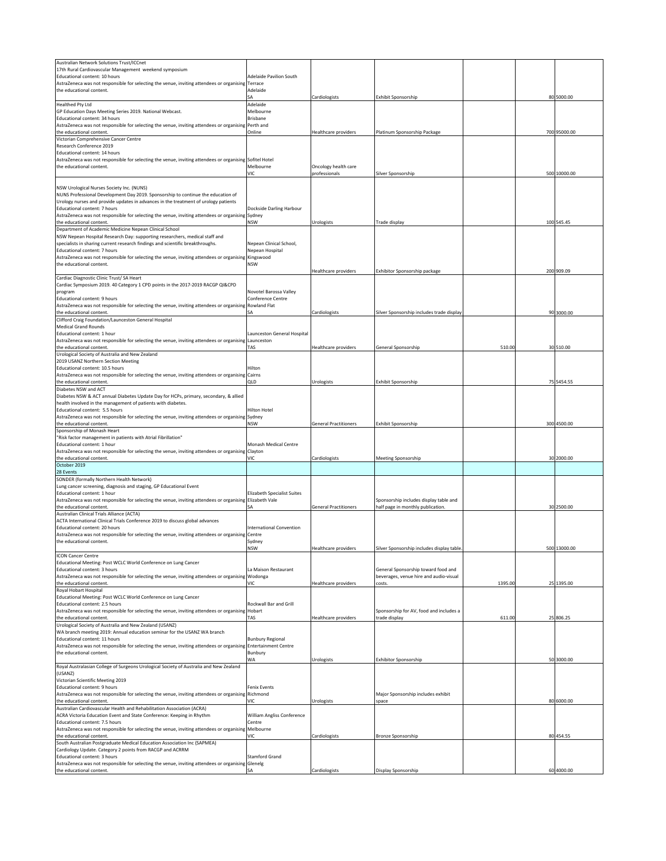| Australian Network Solutions Trust/ICCnet                                                                                                  |                                           |                                       |                                                                             |         |              |
|--------------------------------------------------------------------------------------------------------------------------------------------|-------------------------------------------|---------------------------------------|-----------------------------------------------------------------------------|---------|--------------|
| 17th Rural Cardiovascular Management weekend symposium<br>Educational content: 10 hours                                                    | <b>Adelaide Pavilion South</b>            |                                       |                                                                             |         |              |
| AstraZeneca was not responsible for selecting the venue, inviting attendees or organising                                                  | Terrace                                   |                                       |                                                                             |         |              |
| the educational content.                                                                                                                   | Adelaide                                  |                                       |                                                                             |         |              |
|                                                                                                                                            | SА                                        | Cardiologists                         | Exhibit Sponsorship                                                         |         | 80 5000.00   |
| Healthed Pty Ltd                                                                                                                           | Adelaide                                  |                                       |                                                                             |         |              |
| GP Education Days Meeting Series 2019. National Webcast.                                                                                   | Melbourne<br><b>Brisbane</b>              |                                       |                                                                             |         |              |
| Educational content: 34 hours<br>AstraZeneca was not responsible for selecting the venue, inviting attendees or organising                 | Perth and                                 |                                       |                                                                             |         |              |
| the educational content.                                                                                                                   | Online                                    | Healthcare providers                  | Platinum Sponsorship Package                                                |         | 700 95000.00 |
| Victorian Comprehensive Cancer Centre                                                                                                      |                                           |                                       |                                                                             |         |              |
| Research Conference 2019                                                                                                                   |                                           |                                       |                                                                             |         |              |
| Educational content: 14 hours                                                                                                              |                                           |                                       |                                                                             |         |              |
| AstraZeneca was not responsible for selecting the venue, inviting attendees or organising Sofitel Hotel<br>the educational content.        | Melbourne                                 |                                       |                                                                             |         |              |
|                                                                                                                                            | VIC                                       | Oncology health care<br>professionals | Silver Sponsorship                                                          |         | 500 10000.00 |
|                                                                                                                                            |                                           |                                       |                                                                             |         |              |
| NSW Urological Nurses Society Inc. (NUNS)                                                                                                  |                                           |                                       |                                                                             |         |              |
| NUNS Professional Development Day 2019. Sponsorship to continue the education of                                                           |                                           |                                       |                                                                             |         |              |
| Urology nurses and provide updates in advances in the treatment of urology patients                                                        |                                           |                                       |                                                                             |         |              |
| Educational content: 7 hours                                                                                                               | Dockside Darling Harbour                  |                                       |                                                                             |         |              |
| AstraZeneca was not responsible for selecting the venue, inviting attendees or organising Sydney<br>the educational content.               | <b>NSW</b>                                |                                       |                                                                             |         | 100 545.45   |
| Department of Academic Medicine Nepean Clinical School                                                                                     |                                           | Urologists                            | Trade display                                                               |         |              |
| NSW Nepean Hospital Research Day: supporting researchers, medical staff and                                                                |                                           |                                       |                                                                             |         |              |
| specialists in sharing current research findings and scientific breakthroughs.                                                             | Nepean Clinical School,                   |                                       |                                                                             |         |              |
| Educational content: 7 hours                                                                                                               | Nepean Hospital                           |                                       |                                                                             |         |              |
| AstraZeneca was not responsible for selecting the venue, inviting attendees or organising Kingswood                                        |                                           |                                       |                                                                             |         |              |
| the educational content.                                                                                                                   | <b>NSW</b>                                |                                       |                                                                             |         |              |
| Cardiac Diagnostic Clinic Trust/ SA Heart                                                                                                  |                                           | Healthcare providers                  | Exhibitor Sponsorship package                                               |         | 200 909.09   |
| Cardiac Symposium 2019. 40 Category 1 CPD points in the 2017-2019 RACGP QI&CPD                                                             |                                           |                                       |                                                                             |         |              |
| program                                                                                                                                    | Novotel Barossa Valley                    |                                       |                                                                             |         |              |
| Educational content: 9 hours                                                                                                               | Conference Centre                         |                                       |                                                                             |         |              |
| AstraZeneca was not responsible for selecting the venue, inviting attendees or organising                                                  | Rowland Flat                              |                                       |                                                                             |         |              |
| the educational content.                                                                                                                   | SА                                        | Cardiologists                         | Silver Sponsorship includes trade display                                   |         | 90 3000.00   |
| Clifford Craig Foundation/Launceston General Hospital                                                                                      |                                           |                                       |                                                                             |         |              |
| <b>Medical Grand Rounds</b>                                                                                                                |                                           |                                       |                                                                             |         |              |
| Educational content: 1 hour<br>AstraZeneca was not responsible for selecting the venue, inviting attendees or organising                   | Launceston General Hospital<br>Launceston |                                       |                                                                             |         |              |
| the educational content.                                                                                                                   | TAS                                       | Healthcare providers                  | General Sponsorship                                                         | 510.00  | 30 510.00    |
| Urological Society of Australia and New Zealand                                                                                            |                                           |                                       |                                                                             |         |              |
| 2019 USANZ Northern Section Meeting                                                                                                        |                                           |                                       |                                                                             |         |              |
| Educational content: 10.5 hours                                                                                                            | Hilton                                    |                                       |                                                                             |         |              |
| AstraZeneca was not responsible for selecting the venue, inviting attendees or organising Cairns                                           |                                           |                                       |                                                                             |         |              |
| the educational content.<br>Diabetes NSW and ACT                                                                                           | QLD                                       | Urologists                            | Exhibit Sponsorship                                                         |         | 75 5454.55   |
| Diabetes NSW & ACT annual Diabetes Update Day for HCPs, primary, secondary, & allied                                                       |                                           |                                       |                                                                             |         |              |
| health involved in the management of patients with diabetes.                                                                               |                                           |                                       |                                                                             |         |              |
| Educational content: 5.5 hours                                                                                                             | Hilton Hotel                              |                                       |                                                                             |         |              |
| AstraZeneca was not responsible for selecting the venue, inviting attendees or organising Sydney                                           |                                           |                                       |                                                                             |         |              |
|                                                                                                                                            | <b>NSW</b>                                | <b>General Practitioners</b>          | Exhibit Sponsorship                                                         |         | 300 4500.00  |
| the educational content.                                                                                                                   |                                           |                                       |                                                                             |         |              |
| Sponsorship of Monash Heart                                                                                                                |                                           |                                       |                                                                             |         |              |
| "Risk factor management in patients with Atrial Fibrillation"                                                                              |                                           |                                       |                                                                             |         |              |
| Educational content: 1 hour                                                                                                                | Monash Medical Centre                     |                                       |                                                                             |         |              |
| AstraZeneca was not responsible for selecting the venue, inviting attendees or organising<br>the educational content.                      | Clayton<br>VIC                            | Cardiologists                         | Meeting Sponsorship                                                         |         | 30 2000.00   |
| October 2019                                                                                                                               |                                           |                                       |                                                                             |         |              |
| 28 Events                                                                                                                                  |                                           |                                       |                                                                             |         |              |
| SONDER (formally Northern Health Network)                                                                                                  |                                           |                                       |                                                                             |         |              |
| Lung cancer screening, diagnosis and staging, GP Educational Event                                                                         |                                           |                                       |                                                                             |         |              |
| Educational content: 1 hour                                                                                                                | <b>Elizabeth Specialist Suites</b>        |                                       |                                                                             |         |              |
| AstraZeneca was not responsible for selecting the venue, inviting attendees or organising Elizabeth Vale<br>the educational content.       |                                           | <b>General Practitioners</b>          | Sponsorship includes display table and<br>half page in monthly publication. |         | 30 2500.00   |
| Australian Clinical Trials Alliance (ACTA)                                                                                                 |                                           |                                       |                                                                             |         |              |
| ACTA International Clinical Trials Conference 2019 to discuss global advances                                                              |                                           |                                       |                                                                             |         |              |
| Educational content: 20 hours                                                                                                              | <b>International Convention</b>           |                                       |                                                                             |         |              |
| AstraZeneca was not responsible for selecting the venue, inviting attendees or organising Centre                                           |                                           |                                       |                                                                             |         |              |
| the educational content.                                                                                                                   | Sydney                                    |                                       |                                                                             |         |              |
| <b>ICON Cancer Centre</b>                                                                                                                  | <b>NSW</b>                                | Healthcare providers                  | Silver Sponsorship includes display table                                   |         | 500 13000.00 |
| Educational Meeting: Post WCLC World Conference on Lung Cancer                                                                             |                                           |                                       |                                                                             |         |              |
| Educational content: 3 hours                                                                                                               | La Maison Restaurant                      |                                       | General Sponsorship toward food and                                         |         |              |
| AstraZeneca was not responsible for selecting the venue, inviting attendees or organising Wodonga                                          |                                           |                                       | beverages, venue hire and audio-visual                                      |         |              |
| the educational content.                                                                                                                   | VIC                                       | Healthcare providers                  | costs.                                                                      | 1395.00 | 25 1395.00   |
| Royal Hobart Hospital                                                                                                                      |                                           |                                       |                                                                             |         |              |
| Educational Meeting: Post WCLC World Conference on Lung Cancer<br>Educational content: 2.5 hours                                           | Rockwall Bar and Grill                    |                                       |                                                                             |         |              |
| AstraZeneca was not responsible for selecting the venue, inviting attendees or organising Hobart                                           |                                           |                                       | Sponsorship for AV, food and includes a                                     |         |              |
| the educational content.                                                                                                                   | TAS                                       | Healthcare providers                  | trade display                                                               | 611.00  | 25 806.25    |
| Urological Society of Australia and New Zealand (USANZ)                                                                                    |                                           |                                       |                                                                             |         |              |
| WA branch meeting 2019: Annual education seminar for the USANZ WA branch                                                                   |                                           |                                       |                                                                             |         |              |
| Educational content: 11 hours                                                                                                              | <b>Bunbury Regional</b>                   |                                       |                                                                             |         |              |
| AstraZeneca was not responsible for selecting the venue, inviting attendees or organising Entertainment Centre<br>the educational content. | Bunbury                                   |                                       |                                                                             |         |              |
|                                                                                                                                            | WA                                        | Urologists                            | <b>Exhibitor Sponsorship</b>                                                |         | 50 3000.00   |
| Royal Australasian College of Surgeons Urological Society of Australia and New Zealand                                                     |                                           |                                       |                                                                             |         |              |
| (USANZ)                                                                                                                                    |                                           |                                       |                                                                             |         |              |
| Victorian Scientific Meeting 2019                                                                                                          |                                           |                                       |                                                                             |         |              |
| Educational content: 9 hours                                                                                                               | <b>Fenix Events</b>                       |                                       |                                                                             |         |              |
| AstraZeneca was not responsible for selecting the venue, inviting attendees or organising Richmond<br>the educational content.             | VIC                                       | Urologists                            | Major Sponsorship includes exhibit<br>space                                 |         | 80 6000.00   |
| Australian Cardiovascular Health and Rehabilitation Association (ACRA)                                                                     |                                           |                                       |                                                                             |         |              |
| ACRA Victoria Education Event and State Conference: Keeping in Rhythm                                                                      | William Angliss Conference                |                                       |                                                                             |         |              |
| Educational content: 7.5 hours                                                                                                             | Centre                                    |                                       |                                                                             |         |              |
| AstraZeneca was not responsible for selecting the venue, inviting attendees or organising                                                  | Melbourne                                 |                                       |                                                                             |         |              |
| the educational content.                                                                                                                   | VIC                                       | Cardiologists                         | Bronze Sponsorship                                                          |         | 80 454.55    |
| South Australian Postgraduate Medical Education Association Inc (SAPMEA)<br>Cardiology Update. Category 2 points from RACGP and ACRRM      |                                           |                                       |                                                                             |         |              |
| Educational content: 3 hours                                                                                                               | <b>Stamford Grand</b>                     |                                       |                                                                             |         |              |
| AstraZeneca was not responsible for selecting the venue, inviting attendees or organising Glenelg<br>the educational content.              | ŚΑ                                        | Cardiologists                         | Display Sponsorship                                                         |         | 60 4000.00   |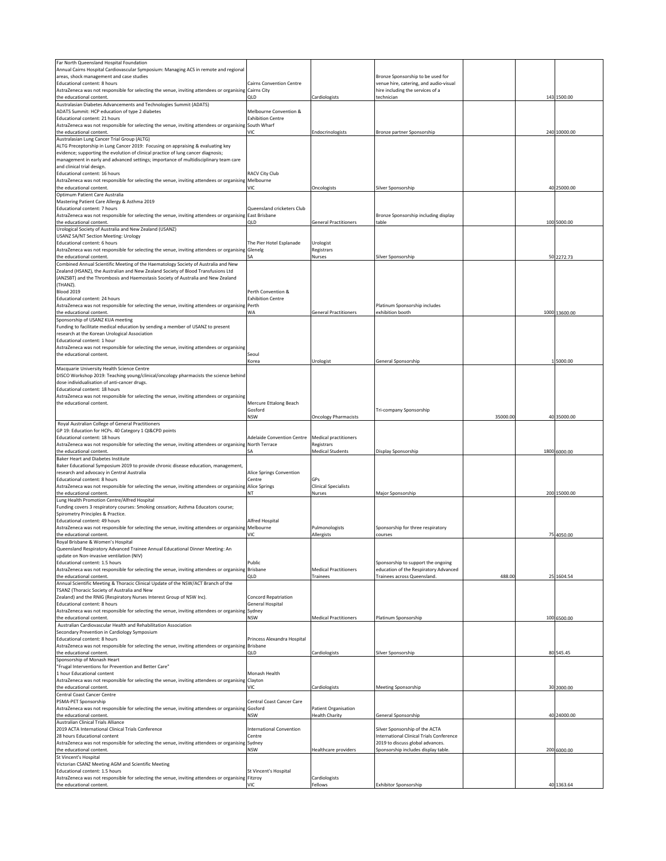| Far North Queensland Hospital Foundation                                                                                  |                                   |                              |                                                                             |          |               |
|---------------------------------------------------------------------------------------------------------------------------|-----------------------------------|------------------------------|-----------------------------------------------------------------------------|----------|---------------|
| Annual Cairns Hospital Cardiovascular Symposium: Managing ACS in remote and regional                                      |                                   |                              |                                                                             |          |               |
| areas, shock management and case studies                                                                                  |                                   |                              | Bronze Sponsorship to be used for                                           |          |               |
| Educational content: 8 hours                                                                                              | <b>Cairns Convention Centre</b>   |                              | venue hire, catering, and audio-visual                                      |          |               |
| AstraZeneca was not responsible for selecting the venue, inviting attendees or organising                                 | Cairns City<br>QLD                |                              | hire including the services of a                                            |          |               |
| the educational content.                                                                                                  |                                   | Cardiologists                | technician                                                                  |          | 143 1500.00   |
| Australasian Diabetes Advancements and Technologies Summit (ADATS)                                                        | Melbourne Convention &            |                              |                                                                             |          |               |
| ADATS Summit: HCP education of type 2 diabetes<br>Educational content: 21 hours                                           | <b>Exhibition Centre</b>          |                              |                                                                             |          |               |
|                                                                                                                           |                                   |                              |                                                                             |          |               |
| AstraZeneca was not responsible for selecting the venue, inviting attendees or organising                                 | South Wharf<br>VIC                | Endocrinologists             |                                                                             |          |               |
| the educational content.                                                                                                  |                                   |                              | Bronze partner Sponsorship                                                  |          | 240 10000.00  |
| Australasian Lung Cancer Trial Group (ALTG)                                                                               |                                   |                              |                                                                             |          |               |
| ALTG Preceptorship in Lung Cancer 2019: Focusing on appraising & evaluating key                                           |                                   |                              |                                                                             |          |               |
| evidence; supporting the evolution of clinical practice of lung cancer diagnosis;                                         |                                   |                              |                                                                             |          |               |
| management in early and advanced settings; importance of multidisciplinary team care                                      |                                   |                              |                                                                             |          |               |
| and clinical trial design.                                                                                                |                                   |                              |                                                                             |          |               |
| Educational content: 16 hours                                                                                             | RACV City Club                    |                              |                                                                             |          |               |
| AstraZeneca was not responsible for selecting the venue, inviting attendees or organising                                 | Melbourne                         |                              |                                                                             |          |               |
| the educational content.                                                                                                  | VIC                               | Oncologists                  | Silver Sponsorship                                                          |          | 40 25000.00   |
| Optimum Patient Care Australia                                                                                            |                                   |                              |                                                                             |          |               |
| Mastering Patient Care Allergy & Asthma 2019                                                                              |                                   |                              |                                                                             |          |               |
| Educational content: 7 hours                                                                                              | Queensland cricketers Club        |                              |                                                                             |          |               |
| AstraZeneca was not responsible for selecting the venue, inviting attendees or organising                                 | East Brisbane                     |                              | Bronze Sponsorship including display                                        |          |               |
| the educational content.                                                                                                  | QLD                               | <b>General Practitioners</b> | table                                                                       |          | 100 5000.00   |
| Urological Society of Australia and New Zealand (USANZ)                                                                   |                                   |                              |                                                                             |          |               |
| USANZ SA/NT Section Meeting: Urology                                                                                      |                                   |                              |                                                                             |          |               |
| Educational content: 6 hours                                                                                              | The Pier Hotel Esplanade          | Urologist                    |                                                                             |          |               |
| AstraZeneca was not responsible for selecting the venue, inviting attendees or organising Glenelg                         |                                   | Registrars                   |                                                                             |          |               |
| the educational content.                                                                                                  | SA                                | Nurses                       | Silver Sponsorship                                                          |          | 50 2272.73    |
| Combined Annual Scientific Meeting of the Haematology Society of Australia and New                                        |                                   |                              |                                                                             |          |               |
| Zealand (HSANZ), the Australian and New Zealand Society of Blood Transfusions Ltd                                         |                                   |                              |                                                                             |          |               |
| (ANZSBT) and the Thrombosis and Haemostasis Society of Australia and New Zealand                                          |                                   |                              |                                                                             |          |               |
| (THANZ)                                                                                                                   |                                   |                              |                                                                             |          |               |
| <b>Blood 2019</b>                                                                                                         | Perth Convention &                |                              |                                                                             |          |               |
| Educational content: 24 hours                                                                                             | <b>Exhibition Centre</b>          |                              |                                                                             |          |               |
| AstraZeneca was not responsible for selecting the venue, inviting attendees or organising                                 | Perth                             |                              | Platinum Sponsorship includes                                               |          |               |
| the educational content.                                                                                                  | WA                                | <b>General Practitioners</b> | exhibition booth                                                            |          | 1000 13600.00 |
| Sponsorship of USANZ KUA meeting                                                                                          |                                   |                              |                                                                             |          |               |
| Funding to facilitate medical education by sending a member of USANZ to present                                           |                                   |                              |                                                                             |          |               |
| research at the Korean Urological Association                                                                             |                                   |                              |                                                                             |          |               |
| Educational content: 1 hour                                                                                               |                                   |                              |                                                                             |          |               |
|                                                                                                                           |                                   |                              |                                                                             |          |               |
| AstraZeneca was not responsible for selecting the venue, inviting attendees or organising                                 |                                   |                              |                                                                             |          |               |
| the educational content.                                                                                                  | Seoul                             |                              |                                                                             |          |               |
|                                                                                                                           | Korea                             | Urologist                    | General Sponsorship                                                         |          | 1 5000.00     |
| Macquarie University Health Science Centre                                                                                |                                   |                              |                                                                             |          |               |
| DISCO Workshop 2019: Teaching young/clinical/oncology pharmacists the science behind                                      |                                   |                              |                                                                             |          |               |
| dose individualisation of anti-cancer drugs.                                                                              |                                   |                              |                                                                             |          |               |
| Educational content: 18 hours                                                                                             |                                   |                              |                                                                             |          |               |
| AstraZeneca was not responsible for selecting the venue, inviting attendees or organising                                 |                                   |                              |                                                                             |          |               |
| the educational content.                                                                                                  | Mercure Ettalong Beach            |                              |                                                                             |          |               |
|                                                                                                                           | Gosford                           |                              | Tri-company Sponsorship                                                     |          |               |
|                                                                                                                           | <b>NSW</b>                        | <b>Oncology Pharmacists</b>  |                                                                             | 35000.00 | 40 35000.00   |
| Royal Australian College of General Practitioners                                                                         |                                   |                              |                                                                             |          |               |
| GP 19: Education for HCPs. 40 Category 1 QI&CPD points                                                                    |                                   |                              |                                                                             |          |               |
| Educational content: 18 hours                                                                                             | <b>Adelaide Convention Centre</b> | <b>Medical practitioners</b> |                                                                             |          |               |
| AstraZeneca was not responsible for selecting the venue, inviting attendees or organising                                 | North Terrace                     | Registrars                   |                                                                             |          |               |
| the educational content.                                                                                                  | SΑ                                | <b>Medical Students</b>      | Display Sponsorship                                                         |          | 1800 6000.00  |
| <b>Baker Heart and Diabetes Institute</b>                                                                                 |                                   |                              |                                                                             |          |               |
| Baker Educational Symposium 2019 to provide chronic disease education, management,                                        |                                   |                              |                                                                             |          |               |
| research and advocacy in Central Australia                                                                                | Alice Springs Convention          |                              |                                                                             |          |               |
| Educational content: 8 hours                                                                                              | Centre                            | <b>GPs</b>                   |                                                                             |          |               |
| AstraZeneca was not responsible for selecting the venue, inviting attendees or organising                                 | <b>Alice Springs</b>              | <b>Clinical Specialists</b>  |                                                                             |          |               |
| the educational content.                                                                                                  | NT                                | Nurses                       | Major Sponsorship                                                           |          | 200 15000.00  |
| Lung Health Promotion Centre/Alfred Hospital                                                                              |                                   |                              |                                                                             |          |               |
| Funding covers 3 respiratory courses: Smoking cessation; Asthma Educators course;                                         |                                   |                              |                                                                             |          |               |
| Spirometry Principles & Practice.                                                                                         |                                   |                              |                                                                             |          |               |
| Educational content: 49 hours                                                                                             |                                   |                              |                                                                             |          |               |
|                                                                                                                           | Alfred Hospital                   |                              |                                                                             |          |               |
| AstraZeneca was not responsible for selecting the venue, inviting attendees or organising                                 | Melbourne                         | Pulmonologists               | Sponsorship for three respiratory                                           |          |               |
| the educational content.                                                                                                  | VIC                               | Allergists                   | courses                                                                     |          | 75 4050.00    |
|                                                                                                                           |                                   |                              |                                                                             |          |               |
| Royal Brisbane & Women's Hospital                                                                                         |                                   |                              |                                                                             |          |               |
| Queensland Respiratory Advanced Trainee Annual Educational Dinner Meeting: An<br>update on Non-invasive ventilation (NIV) |                                   |                              |                                                                             |          |               |
| Educational content: 1.5 hours                                                                                            | Public                            |                              |                                                                             |          |               |
| AstraZeneca was not responsible for selecting the venue, inviting attendees or organising Brisbane                        |                                   | <b>Medical Practitioners</b> | Sponsorship to support the ongoing<br>education of the Respiratory Advanced |          |               |
| the educational content.                                                                                                  | QLD                               | Trainees                     | Trainees across Queensland.                                                 | 488.00   | 25 1604.54    |
| Annual Scientific Meeting & Thoracic Clinical Update of the NSW/ACT Branch of the                                         |                                   |                              |                                                                             |          |               |
| TSANZ (Thoracic Society of Australia and New                                                                              |                                   |                              |                                                                             |          |               |
|                                                                                                                           |                                   |                              |                                                                             |          |               |
| Zealand) and the RNIG (Respiratory Nurses Interest Group of NSW Inc).                                                     | Concord Repatriation              |                              |                                                                             |          |               |
| Educational content: 8 hours                                                                                              | General Hospital                  |                              |                                                                             |          |               |
| AstraZeneca was not responsible for selecting the venue, inviting attendees or organising                                 | Sydney                            |                              |                                                                             |          |               |
| the educational content.                                                                                                  | NSW                               | <b>Medical Practitioners</b> | Platinum Sponsorship                                                        |          | 100 6500.00   |
| Australian Cardiovascular Health and Rehabilitation Association                                                           |                                   |                              |                                                                             |          |               |
| Secondary Prevention in Cardiology Symposium<br>Educational content: 8 hours                                              |                                   |                              |                                                                             |          |               |
|                                                                                                                           | Princess Alexandra Hospital       |                              |                                                                             |          |               |
| AstraZeneca was not responsible for selecting the venue, inviting attendees or organising Brisbane                        |                                   |                              |                                                                             |          |               |
| the educational content.                                                                                                  | QLD                               | Cardiologists                | Silver Sponsorship                                                          |          | 80 545.45     |
| Sponsorship of Monash Heart                                                                                               |                                   |                              |                                                                             |          |               |
| "Frugal Interventions for Prevention and Better Care"                                                                     |                                   |                              |                                                                             |          |               |
| 1 hour Educational content                                                                                                | Monash Health                     |                              |                                                                             |          |               |
| AstraZeneca was not responsible for selecting the venue, inviting attendees or organising                                 | Clayton                           |                              |                                                                             |          |               |
| the educational content.                                                                                                  | VIC                               | Cardiologists                | Meeting Sponsorship                                                         |          | 30 2000.00    |
| Central Coast Cancer Centre                                                                                               |                                   |                              |                                                                             |          |               |
| PSMA-PET Sponsorship                                                                                                      | Central Coast Cancer Care         |                              |                                                                             |          |               |
| AstraZeneca was not responsible for selecting the venue, inviting attendees or organising                                 | Gosford                           | Patient Organisation         |                                                                             |          |               |
| the educational content.                                                                                                  | NSW                               | <b>Health Charity</b>        | General Sponsorship                                                         |          | 40 24000.00   |
| Australian Clinical Trials Alliance                                                                                       |                                   |                              |                                                                             |          |               |
| 2019 ACTA International Clinical Trials Conference                                                                        | <b>International Convention</b>   |                              | Silver Sponsorship of the ACTA                                              |          |               |
| 28 hours Educational content                                                                                              | Centre                            |                              | International Clinical Trials Conference                                    |          |               |
| AstraZeneca was not responsible for selecting the venue, inviting attendees or organising                                 | Sydney                            |                              | 2019 to discuss global advances.                                            |          |               |
| the educational content.                                                                                                  | <b>NSW</b>                        | Healthcare providers         | Sponsorship includes display table.                                         |          | 200 6000.00   |
| St Vincent's Hospital                                                                                                     |                                   |                              |                                                                             |          |               |
| Victorian CSANZ Meeting AGM and Scientific Meeting                                                                        |                                   |                              |                                                                             |          |               |
| Educational content: 1.5 hours                                                                                            | St Vincent's Hospital             |                              |                                                                             |          |               |
| AstraZeneca was not responsible for selecting the venue, inviting attendees or organising<br>the educational content.     | Fitzroy<br>VIC                    | Cardiologists<br>Fellows     | <b>Exhibitor Sponsorship</b>                                                |          | 40 1363.64    |